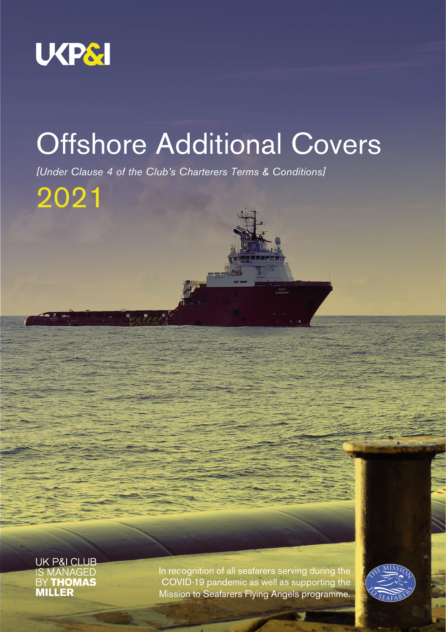

# Offshore Additional Covers

*[Under Clause 4 of the Club's Charterers Terms & Conditions]* 

2021

UK P&I CLUB **IS MANAGED**<br>BY **THOMAS MILLER** 

In recognition of all seafarers serving during the COVID-19 pandemic as well as supporting the Mission to Seafarers Flying Angels programme.

Offshore Specialist/Operations Additional Covers 2021 1

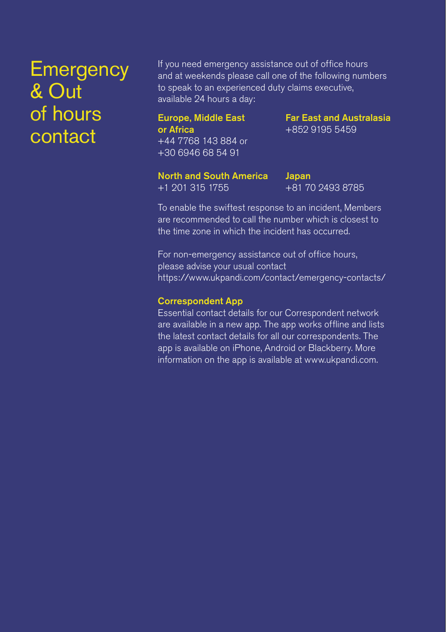## **Emergency** & Out of hours contact

If you need emergency assistance out of office hours and at weekends please call one of the following numbers to speak to an experienced duty claims executive, available 24 hours a day:

Europe, Middle East or Africa +44 7768 143 884 or +30 6946 68 54 91

Far East and Australasia +852 9195 5459

North and South America +1 201 315 1755

Japan +81 70 2493 8785

To enable the swiftest response to an incident, Members are recommended to call the number which is closest to the time zone in which the incident has occurred.

For non-emergency assistance out of office hours, please advise your usual contact https://www.ukpandi.com/contact/emergency-contacts/

#### Correspondent App

Essential contact details for our Correspondent network are available in a new app. The app works offline and lists the latest contact details for all our correspondents. The app is available on iPhone, Android or Blackberry. More information on the app is available at www.ukpandi.com.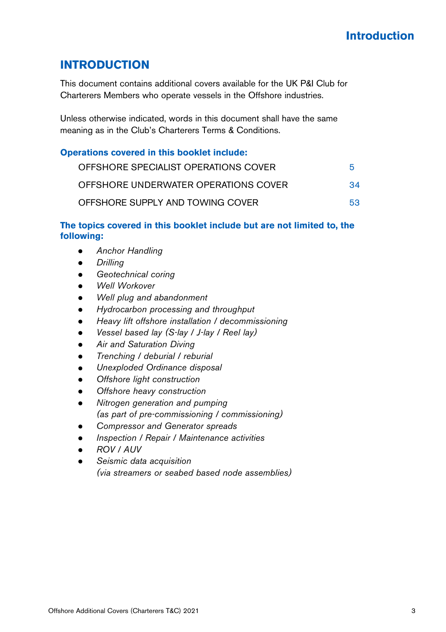### **INTRODUCTION**

This document contains additional covers available for the UK P&I Club for Charterers Members who operate vessels in the Offshore industries.

Unless otherwise indicated, words in this document shall have the same meaning as in the Club's Charterers Terms & Conditions.

#### **Operations covered in this booklet include:**

| OFFSHORE SPECIALIST OPERATIONS COVER | 5  |
|--------------------------------------|----|
| OFFSHORE UNDERWATER OPERATIONS COVER | 34 |
| OFFSHORE SUPPLY AND TOWING COVER     | 53 |

#### **The topics covered in this booklet include but are not limited to, the following:**

- *Anchor Handling*
- *Drilling*
- *Geotechnical coring*
- *Well Workover*
- *Well plug and abandonment*
- *Hydrocarbon processing and throughput*
- *Heavy lift offshore installation / decommissioning*
- *Vessel based lay (S-lay / J-lay / Reel lay)*
- *Air and Saturation Diving*
- *Trenching / deburial / reburial*
- *Unexploded Ordinance disposal*
- *Offshore light construction*
- *Offshore heavy construction*
- *Nitrogen generation and pumping (as part of pre-commissioning / commissioning)*
- *Compressor and Generator spreads*
- *Inspection / Repair / Maintenance activities*
- *ROV / AUV*
- *Seismic data acquisition (via streamers or seabed based node assemblies)*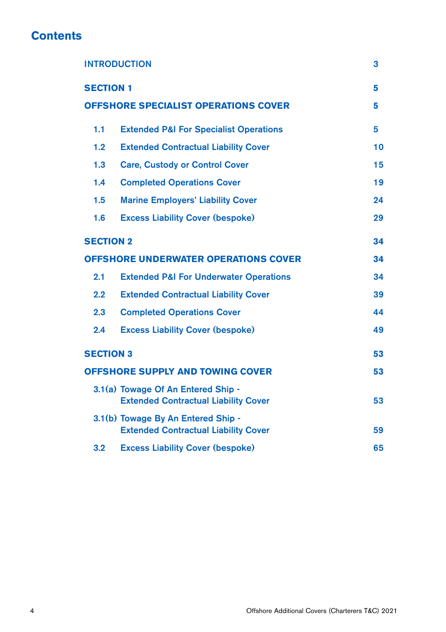### **Contents**

| <b>INTRODUCTION</b>                         |                                                                                   | 3  |
|---------------------------------------------|-----------------------------------------------------------------------------------|----|
| <b>SECTION 1</b>                            | 5                                                                                 |    |
| <b>OFFSHORE SPECIALIST OPERATIONS COVER</b> |                                                                                   | 5  |
| 1.1                                         | <b>Extended P&amp;I For Specialist Operations</b>                                 | 5  |
| 1.2                                         | <b>Extended Contractual Liability Cover</b>                                       | 10 |
| 1.3                                         | <b>Care, Custody or Control Cover</b>                                             | 15 |
| 1.4                                         | <b>Completed Operations Cover</b>                                                 | 19 |
| 1.5                                         | <b>Marine Employers' Liability Cover</b>                                          | 24 |
| 1.6                                         | <b>Excess Liability Cover (bespoke)</b>                                           | 29 |
| <b>SECTION 2</b>                            |                                                                                   | 34 |
| <b>OFFSHORE UNDERWATER OPERATIONS COVER</b> |                                                                                   | 34 |
| 2.1                                         | <b>Extended P&amp;I For Underwater Operations</b>                                 | 34 |
| 2.2                                         | <b>Extended Contractual Liability Cover</b>                                       | 39 |
| 2.3                                         | <b>Completed Operations Cover</b>                                                 | 44 |
| 2.4                                         | <b>Excess Liability Cover (bespoke)</b>                                           | 49 |
| <b>SECTION 3</b>                            |                                                                                   | 53 |
| <b>OFFSHORE SUPPLY AND TOWING COVER</b>     |                                                                                   | 53 |
|                                             | 3.1(a) Towage Of An Entered Ship -<br><b>Extended Contractual Liability Cover</b> | 53 |
|                                             | 3.1(b) Towage By An Entered Ship -<br><b>Extended Contractual Liability Cover</b> | 59 |
| 3.2                                         | <b>Excess Liability Cover (bespoke)</b>                                           | 65 |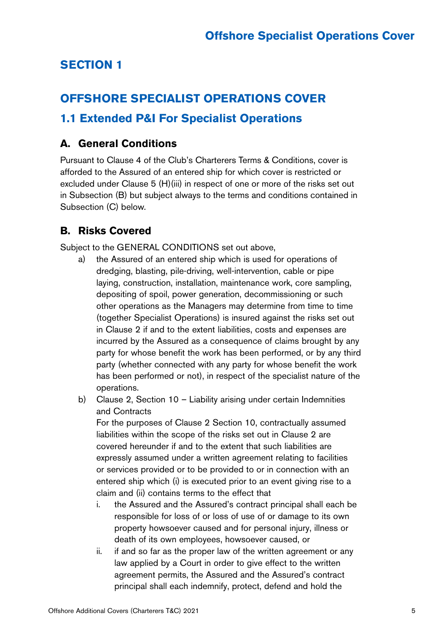### **SECTION 1**

### **OFFSHORE SPECIALIST OPERATIONS COVER**

### **1.1 Extended P&I For Specialist Operations**

### **A. General Conditions**

Pursuant to Clause 4 of the Club's Charterers Terms & Conditions, cover is afforded to the Assured of an entered ship for which cover is restricted or excluded under Clause 5 (H)(iii) in respect of one or more of the risks set out in Subsection (B) but subject always to the terms and conditions contained in Subsection (C) below.

### **B. Risks Covered**

Subject to the GENERAL CONDITIONS set out above,

- a) the Assured of an entered ship which is used for operations of dredging, blasting, pile-driving, well-intervention, cable or pipe laying, construction, installation, maintenance work, core sampling, depositing of spoil, power generation, decommissioning or such other operations as the Managers may determine from time to time (together Specialist Operations) is insured against the risks set out in Clause 2 if and to the extent liabilities, costs and expenses are incurred by the Assured as a consequence of claims brought by any party for whose benefit the work has been performed, or by any third party (whether connected with any party for whose benefit the work has been performed or not), in respect of the specialist nature of the operations.
- b) Clause 2, Section 10 Liability arising under certain Indemnities and Contracts

For the purposes of Clause 2 Section 10, contractually assumed liabilities within the scope of the risks set out in Clause 2 are covered hereunder if and to the extent that such liabilities are expressly assumed under a written agreement relating to facilities or services provided or to be provided to or in connection with an entered ship which (i) is executed prior to an event giving rise to a claim and (ii) contains terms to the effect that

- i. the Assured and the Assured's contract principal shall each be responsible for loss of or loss of use of or damage to its own property howsoever caused and for personal injury, illness or death of its own employees, howsoever caused, or
- ii. if and so far as the proper law of the written agreement or any law applied by a Court in order to give effect to the written agreement permits, the Assured and the Assured's contract principal shall each indemnify, protect, defend and hold the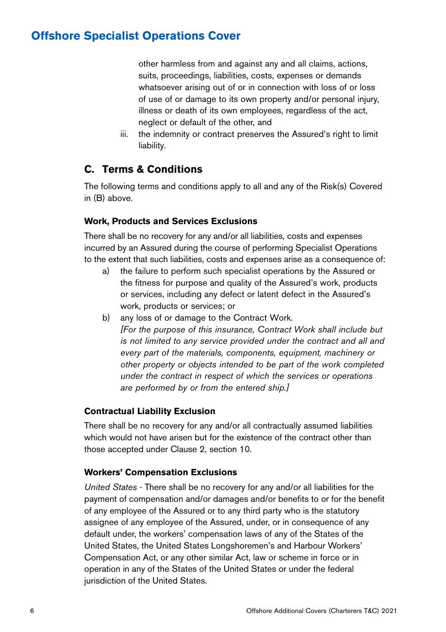other harmless from and against any and all claims, actions, suits, proceedings, liabilities, costs, expenses or demands whatsoever arising out of or in connection with loss of or loss of use of or damage to its own property and/or personal injury, illness or death of its own employees, regardless of the act, neglect or default of the other, and

iii. the indemnity or contract preserves the Assured's right to limit liability.

### **C. Terms & Conditions**

The following terms and conditions apply to all and any of the Risk(s) Covered in (B) above.

#### **Work, Products and Services Exclusions**

There shall be no recovery for any and/or all liabilities, costs and expenses incurred by an Assured during the course of performing Specialist Operations to the extent that such liabilities, costs and expenses arise as a consequence of:

- a) the failure to perform such specialist operations by the Assured or the fitness for purpose and quality of the Assured's work, products or services, including any defect or latent defect in the Assured's work, products or services; or
- b) any loss of or damage to the Contract Work. *[For the purpose of this insurance, Contract Work shall include but is not limited to any service provided under the contract and all and every part of the materials, components, equipment, machinery or other property or objects intended to be part of the work completed under the contract in respect of which the services or operations are performed by or from the entered ship.]*

#### **Contractual Liability Exclusion**

There shall be no recovery for any and/or all contractually assumed liabilities which would not have arisen but for the existence of the contract other than those accepted under Clause 2, section 10.

#### **Workers' Compensation Exclusions**

*United States* - There shall be no recovery for any and/or all liabilities for the payment of compensation and/or damages and/or benefits to or for the benefit of any employee of the Assured or to any third party who is the statutory assignee of any employee of the Assured, under, or in consequence of any default under, the workers' compensation laws of any of the States of the United States, the United States Longshoremen's and Harbour Workers' Compensation Act, or any other similar Act, law or scheme in force or in operation in any of the States of the United States or under the federal jurisdiction of the United States.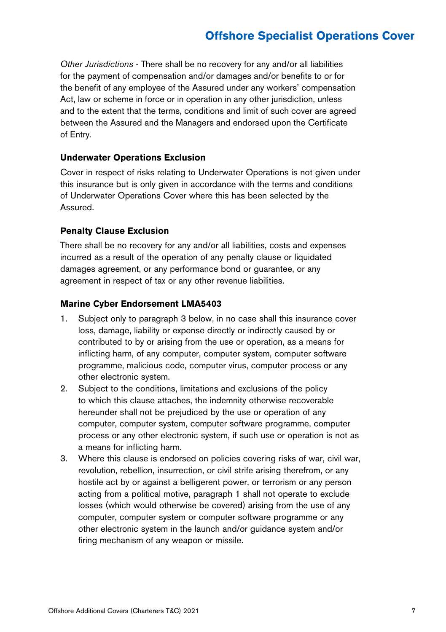*Other Jurisdictions* - There shall be no recovery for any and/or all liabilities for the payment of compensation and/or damages and/or benefits to or for the benefit of any employee of the Assured under any workers' compensation Act, law or scheme in force or in operation in any other jurisdiction, unless and to the extent that the terms, conditions and limit of such cover are agreed between the Assured and the Managers and endorsed upon the Certificate of Entry.

#### **Underwater Operations Exclusion**

Cover in respect of risks relating to Underwater Operations is not given under this insurance but is only given in accordance with the terms and conditions of Underwater Operations Cover where this has been selected by the Assured.

#### **Penalty Clause Exclusion**

There shall be no recovery for any and/or all liabilities, costs and expenses incurred as a result of the operation of any penalty clause or liquidated damages agreement, or any performance bond or guarantee, or any agreement in respect of tax or any other revenue liabilities.

#### **Marine Cyber Endorsement LMA5403**

- 1. Subject only to paragraph 3 below, in no case shall this insurance cover loss, damage, liability or expense directly or indirectly caused by or contributed to by or arising from the use or operation, as a means for inflicting harm, of any computer, computer system, computer software programme, malicious code, computer virus, computer process or any other electronic system.
- 2. Subject to the conditions, limitations and exclusions of the policy to which this clause attaches, the indemnity otherwise recoverable hereunder shall not be prejudiced by the use or operation of any computer, computer system, computer software programme, computer process or any other electronic system, if such use or operation is not as a means for inflicting harm.
- 3. Where this clause is endorsed on policies covering risks of war, civil war, revolution, rebellion, insurrection, or civil strife arising therefrom, or any hostile act by or against a belligerent power, or terrorism or any person acting from a political motive, paragraph 1 shall not operate to exclude losses (which would otherwise be covered) arising from the use of any computer, computer system or computer software programme or any other electronic system in the launch and/or guidance system and/or firing mechanism of any weapon or missile.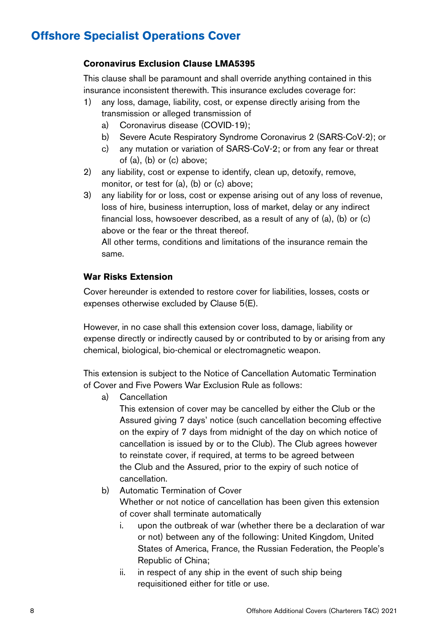#### **Coronavirus Exclusion Clause LMA5395**

This clause shall be paramount and shall override anything contained in this insurance inconsistent therewith. This insurance excludes coverage for:

- 1) any loss, damage, liability, cost, or expense directly arising from the transmission or alleged transmission of
	- a) Coronavirus disease (COVID-19);
	- b) Severe Acute Respiratory Syndrome Coronavirus 2 (SARS-CoV-2); or
	- c) any mutation or variation of SARS-CoV-2; or from any fear or threat of (a), (b) or (c) above;
- 2) any liability, cost or expense to identify, clean up, detoxify, remove, monitor, or test for (a), (b) or (c) above;
- 3) any liability for or loss, cost or expense arising out of any loss of revenue, loss of hire, business interruption, loss of market, delay or any indirect financial loss, howsoever described, as a result of any of (a), (b) or (c) above or the fear or the threat thereof.

All other terms, conditions and limitations of the insurance remain the same.

#### **War Risks Extension**

Cover hereunder is extended to restore cover for liabilities, losses, costs or expenses otherwise excluded by Clause 5(E).

However, in no case shall this extension cover loss, damage, liability or expense directly or indirectly caused by or contributed to by or arising from any chemical, biological, bio-chemical or electromagnetic weapon.

This extension is subject to the Notice of Cancellation Automatic Termination of Cover and Five Powers War Exclusion Rule as follows:

a) Cancellation

This extension of cover may be cancelled by either the Club or the Assured giving 7 days' notice (such cancellation becoming effective on the expiry of 7 days from midnight of the day on which notice of cancellation is issued by or to the Club). The Club agrees however to reinstate cover, if required, at terms to be agreed between the Club and the Assured, prior to the expiry of such notice of cancellation.

- b) Automatic Termination of Cover Whether or not notice of cancellation has been given this extension of cover shall terminate automatically
	- i. upon the outbreak of war (whether there be a declaration of war or not) between any of the following: United Kingdom, United States of America, France, the Russian Federation, the People's Republic of China;
	- ii. in respect of any ship in the event of such ship being requisitioned either for title or use.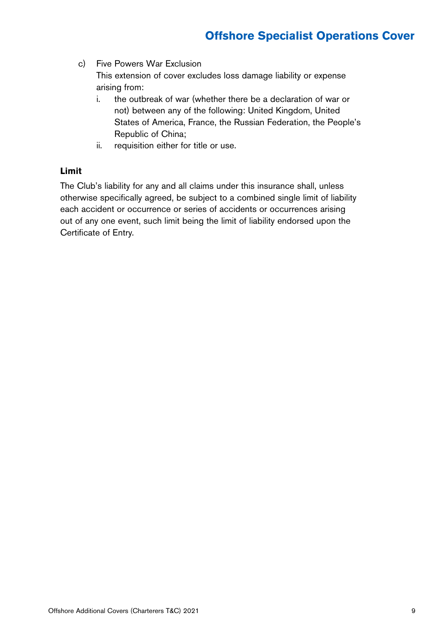- c) Five Powers War Exclusion This extension of cover excludes loss damage liability or expense arising from:
	- i. the outbreak of war (whether there be a declaration of war or not) between any of the following: United Kingdom, United States of America, France, the Russian Federation, the People's Republic of China;
	- ii. requisition either for title or use.

#### **Limit**

The Club's liability for any and all claims under this insurance shall, unless otherwise specifically agreed, be subject to a combined single limit of liability each accident or occurrence or series of accidents or occurrences arising out of any one event, such limit being the limit of liability endorsed upon the Certificate of Entry.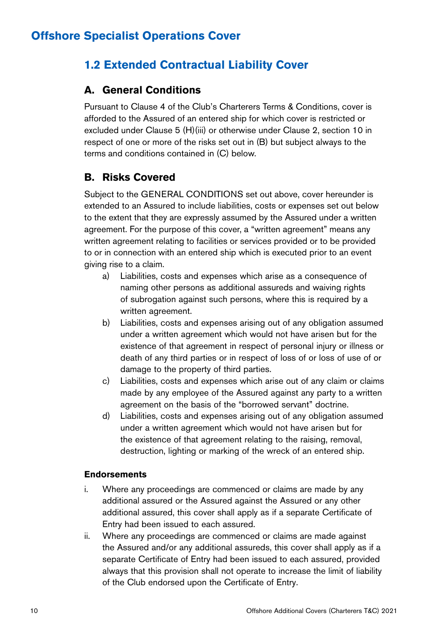### **1.2 Extended Contractual Liability Cover**

### **A. General Conditions**

Pursuant to Clause 4 of the Club's Charterers Terms & Conditions, cover is afforded to the Assured of an entered ship for which cover is restricted or excluded under Clause 5 (H)(iii) or otherwise under Clause 2, section 10 in respect of one or more of the risks set out in (B) but subject always to the terms and conditions contained in (C) below.

### **B. Risks Covered**

Subject to the GENERAL CONDITIONS set out above, cover hereunder is extended to an Assured to include liabilities, costs or expenses set out below to the extent that they are expressly assumed by the Assured under a written agreement. For the purpose of this cover, a "written agreement" means any written agreement relating to facilities or services provided or to be provided to or in connection with an entered ship which is executed prior to an event giving rise to a claim.

- a) Liabilities, costs and expenses which arise as a consequence of naming other persons as additional assureds and waiving rights of subrogation against such persons, where this is required by a written agreement.
- b) Liabilities, costs and expenses arising out of any obligation assumed under a written agreement which would not have arisen but for the existence of that agreement in respect of personal injury or illness or death of any third parties or in respect of loss of or loss of use of or damage to the property of third parties.
- c) Liabilities, costs and expenses which arise out of any claim or claims made by any employee of the Assured against any party to a written agreement on the basis of the "borrowed servant" doctrine.
- d) Liabilities, costs and expenses arising out of any obligation assumed under a written agreement which would not have arisen but for the existence of that agreement relating to the raising, removal, destruction, lighting or marking of the wreck of an entered ship.

#### **Endorsements**

- i. Where any proceedings are commenced or claims are made by any additional assured or the Assured against the Assured or any other additional assured, this cover shall apply as if a separate Certificate of Entry had been issued to each assured.
- ii. Where any proceedings are commenced or claims are made against the Assured and/or any additional assureds, this cover shall apply as if a separate Certificate of Entry had been issued to each assured, provided always that this provision shall not operate to increase the limit of liability of the Club endorsed upon the Certificate of Entry.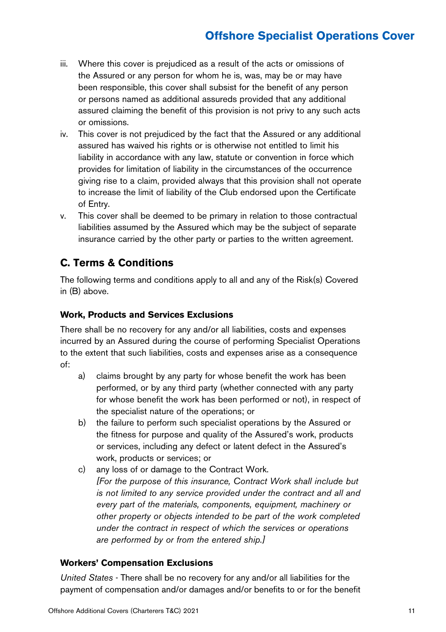- iii. Where this cover is prejudiced as a result of the acts or omissions of the Assured or any person for whom he is, was, may be or may have been responsible, this cover shall subsist for the benefit of any person or persons named as additional assureds provided that any additional assured claiming the benefit of this provision is not privy to any such acts or omissions.
- iv. This cover is not prejudiced by the fact that the Assured or any additional assured has waived his rights or is otherwise not entitled to limit his liability in accordance with any law, statute or convention in force which provides for limitation of liability in the circumstances of the occurrence giving rise to a claim, provided always that this provision shall not operate to increase the limit of liability of the Club endorsed upon the Certificate of Entry.
- v. This cover shall be deemed to be primary in relation to those contractual liabilities assumed by the Assured which may be the subject of separate insurance carried by the other party or parties to the written agreement.

### **C. Terms & Conditions**

The following terms and conditions apply to all and any of the Risk(s) Covered in (B) above.

#### **Work, Products and Services Exclusions**

There shall be no recovery for any and/or all liabilities, costs and expenses incurred by an Assured during the course of performing Specialist Operations to the extent that such liabilities, costs and expenses arise as a consequence of:

- a) claims brought by any party for whose benefit the work has been performed, or by any third party (whether connected with any party for whose benefit the work has been performed or not), in respect of the specialist nature of the operations; or
- b) the failure to perform such specialist operations by the Assured or the fitness for purpose and quality of the Assured's work, products or services, including any defect or latent defect in the Assured's work, products or services; or
- c) any loss of or damage to the Contract Work. *[For the purpose of this insurance, Contract Work shall include but is not limited to any service provided under the contract and all and every part of the materials, components, equipment, machinery or other property or objects intended to be part of the work completed under the contract in respect of which the services or operations are performed by or from the entered ship.]*

#### **Workers' Compensation Exclusions**

*United States* - There shall be no recovery for any and/or all liabilities for the payment of compensation and/or damages and/or benefits to or for the benefit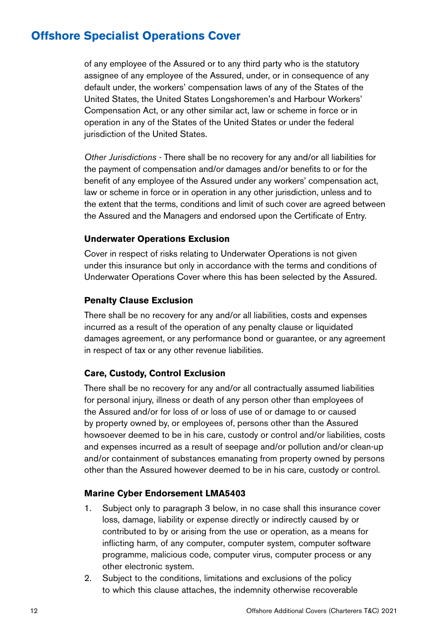of any employee of the Assured or to any third party who is the statutory assignee of any employee of the Assured, under, or in consequence of any default under, the workers' compensation laws of any of the States of the United States, the United States Longshoremen's and Harbour Workers' Compensation Act, or any other similar act, law or scheme in force or in operation in any of the States of the United States or under the federal jurisdiction of the United States.

*Other Jurisdictions* - There shall be no recovery for any and/or all liabilities for the payment of compensation and/or damages and/or benefits to or for the benefit of any employee of the Assured under any workers' compensation act, law or scheme in force or in operation in any other jurisdiction, unless and to the extent that the terms, conditions and limit of such cover are agreed between the Assured and the Managers and endorsed upon the Certificate of Entry.

#### **Underwater Operations Exclusion**

Cover in respect of risks relating to Underwater Operations is not given under this insurance but only in accordance with the terms and conditions of Underwater Operations Cover where this has been selected by the Assured.

#### **Penalty Clause Exclusion**

There shall be no recovery for any and/or all liabilities, costs and expenses incurred as a result of the operation of any penalty clause or liquidated damages agreement, or any performance bond or guarantee, or any agreement in respect of tax or any other revenue liabilities.

#### **Care, Custody, Control Exclusion**

There shall be no recovery for any and/or all contractually assumed liabilities for personal injury, illness or death of any person other than employees of the Assured and/or for loss of or loss of use of or damage to or caused by property owned by, or employees of, persons other than the Assured howsoever deemed to be in his care, custody or control and/or liabilities, costs and expenses incurred as a result of seepage and/or pollution and/or clean-up and/or containment of substances emanating from property owned by persons other than the Assured however deemed to be in his care, custody or control.

#### **Marine Cyber Endorsement LMA5403**

- 1. Subject only to paragraph 3 below, in no case shall this insurance cover loss, damage, liability or expense directly or indirectly caused by or contributed to by or arising from the use or operation, as a means for inflicting harm, of any computer, computer system, computer software programme, malicious code, computer virus, computer process or any other electronic system.
- 2. Subject to the conditions, limitations and exclusions of the policy to which this clause attaches, the indemnity otherwise recoverable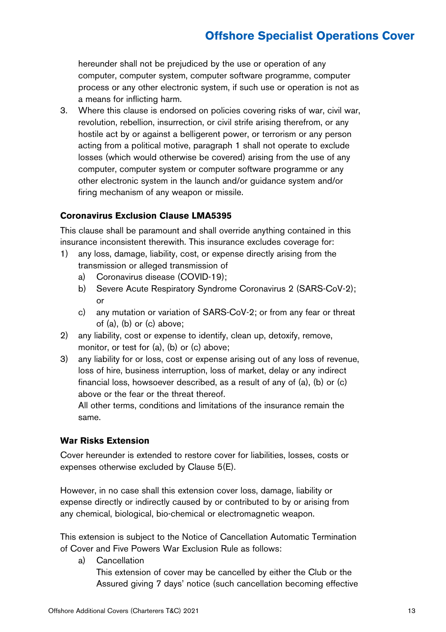hereunder shall not be prejudiced by the use or operation of any computer, computer system, computer software programme, computer process or any other electronic system, if such use or operation is not as a means for inflicting harm.

3. Where this clause is endorsed on policies covering risks of war, civil war, revolution, rebellion, insurrection, or civil strife arising therefrom, or any hostile act by or against a belligerent power, or terrorism or any person acting from a political motive, paragraph 1 shall not operate to exclude losses (which would otherwise be covered) arising from the use of any computer, computer system or computer software programme or any other electronic system in the launch and/or guidance system and/or firing mechanism of any weapon or missile.

#### **Coronavirus Exclusion Clause LMA5395**

This clause shall be paramount and shall override anything contained in this insurance inconsistent therewith. This insurance excludes coverage for:

- 1) any loss, damage, liability, cost, or expense directly arising from the transmission or alleged transmission of
	- a) Coronavirus disease (COVID-19);
	- b) Severe Acute Respiratory Syndrome Coronavirus 2 (SARS-CoV-2); or
	- c) any mutation or variation of SARS-CoV-2; or from any fear or threat of (a), (b) or (c) above;
- 2) any liability, cost or expense to identify, clean up, detoxify, remove, monitor, or test for (a), (b) or (c) above;
- 3) any liability for or loss, cost or expense arising out of any loss of revenue, loss of hire, business interruption, loss of market, delay or any indirect financial loss, howsoever described, as a result of any of (a), (b) or (c) above or the fear or the threat thereof.

All other terms, conditions and limitations of the insurance remain the same.

#### **War Risks Extension**

Cover hereunder is extended to restore cover for liabilities, losses, costs or expenses otherwise excluded by Clause 5(E).

However, in no case shall this extension cover loss, damage, liability or expense directly or indirectly caused by or contributed to by or arising from any chemical, biological, bio-chemical or electromagnetic weapon.

This extension is subject to the Notice of Cancellation Automatic Termination of Cover and Five Powers War Exclusion Rule as follows:

a) Cancellation

This extension of cover may be cancelled by either the Club or the Assured giving 7 days' notice (such cancellation becoming effective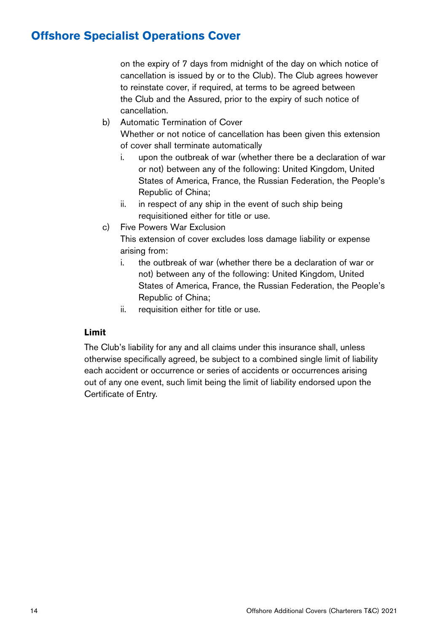on the expiry of 7 days from midnight of the day on which notice of cancellation is issued by or to the Club). The Club agrees however to reinstate cover, if required, at terms to be agreed between the Club and the Assured, prior to the expiry of such notice of cancellation.

- b) Automatic Termination of Cover Whether or not notice of cancellation has been given this extension of cover shall terminate automatically
	- i. upon the outbreak of war (whether there be a declaration of war or not) between any of the following: United Kingdom, United States of America, France, the Russian Federation, the People's Republic of China;
	- ii. in respect of any ship in the event of such ship being requisitioned either for title or use.
- c) Five Powers War Exclusion

This extension of cover excludes loss damage liability or expense arising from:

- i. the outbreak of war (whether there be a declaration of war or not) between any of the following: United Kingdom, United States of America, France, the Russian Federation, the People's Republic of China;
- ii. requisition either for title or use.

#### **Limit**

The Club's liability for any and all claims under this insurance shall, unless otherwise specifically agreed, be subject to a combined single limit of liability each accident or occurrence or series of accidents or occurrences arising out of any one event, such limit being the limit of liability endorsed upon the Certificate of Entry.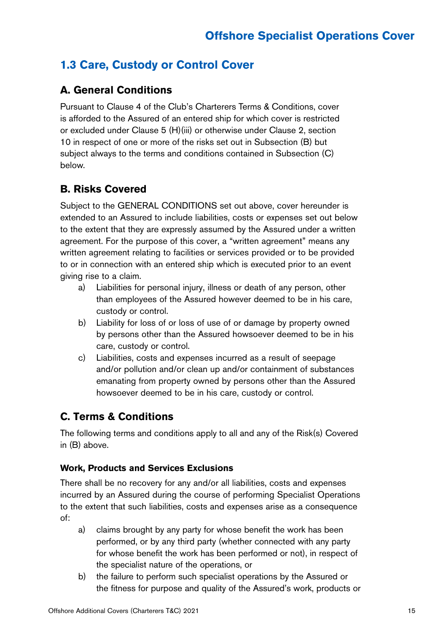### **1.3 Care, Custody or Control Cover**

### **A. General Conditions**

Pursuant to Clause 4 of the Club's Charterers Terms & Conditions, cover is afforded to the Assured of an entered ship for which cover is restricted or excluded under Clause 5 (H)(iii) or otherwise under Clause 2, section 10 in respect of one or more of the risks set out in Subsection (B) but subject always to the terms and conditions contained in Subsection (C) below.

### **B. Risks Covered**

Subject to the GENERAL CONDITIONS set out above, cover hereunder is extended to an Assured to include liabilities, costs or expenses set out below to the extent that they are expressly assumed by the Assured under a written agreement. For the purpose of this cover, a "written agreement" means any written agreement relating to facilities or services provided or to be provided to or in connection with an entered ship which is executed prior to an event giving rise to a claim.

- a) Liabilities for personal injury, illness or death of any person, other than employees of the Assured however deemed to be in his care, custody or control.
- b) Liability for loss of or loss of use of or damage by property owned by persons other than the Assured howsoever deemed to be in his care, custody or control.
- c) Liabilities, costs and expenses incurred as a result of seepage and/or pollution and/or clean up and/or containment of substances emanating from property owned by persons other than the Assured howsoever deemed to be in his care, custody or control.

### **C. Terms & Conditions**

The following terms and conditions apply to all and any of the Risk(s) Covered in (B) above.

#### **Work, Products and Services Exclusions**

There shall be no recovery for any and/or all liabilities, costs and expenses incurred by an Assured during the course of performing Specialist Operations to the extent that such liabilities, costs and expenses arise as a consequence of:

- a) claims brought by any party for whose benefit the work has been performed, or by any third party (whether connected with any party for whose benefit the work has been performed or not), in respect of the specialist nature of the operations, or
- b) the failure to perform such specialist operations by the Assured or the fitness for purpose and quality of the Assured's work, products or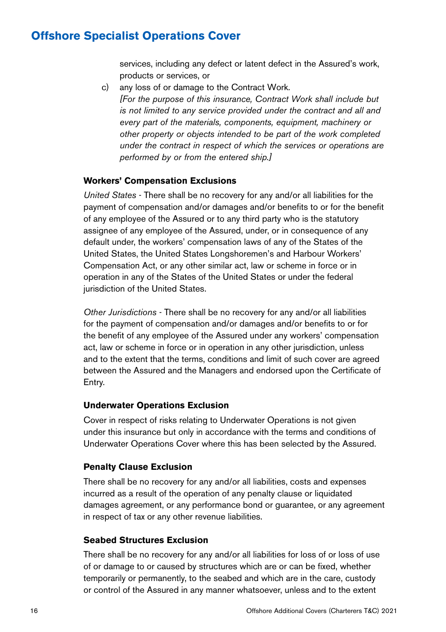services, including any defect or latent defect in the Assured's work, products or services, or

c) any loss of or damage to the Contract Work. *[For the purpose of this insurance, Contract Work shall include but is not limited to any service provided under the contract and all and every part of the materials, components, equipment, machinery or other property or objects intended to be part of the work completed under the contract in respect of which the services or operations are performed by or from the entered ship.]*

#### **Workers' Compensation Exclusions**

*United States* - There shall be no recovery for any and/or all liabilities for the payment of compensation and/or damages and/or benefits to or for the benefit of any employee of the Assured or to any third party who is the statutory assignee of any employee of the Assured, under, or in consequence of any default under, the workers' compensation laws of any of the States of the United States, the United States Longshoremen's and Harbour Workers' Compensation Act, or any other similar act, law or scheme in force or in operation in any of the States of the United States or under the federal jurisdiction of the United States.

*Other Jurisdictions* - There shall be no recovery for any and/or all liabilities for the payment of compensation and/or damages and/or benefits to or for the benefit of any employee of the Assured under any workers' compensation act, law or scheme in force or in operation in any other jurisdiction, unless and to the extent that the terms, conditions and limit of such cover are agreed between the Assured and the Managers and endorsed upon the Certificate of Entry.

#### **Underwater Operations Exclusion**

Cover in respect of risks relating to Underwater Operations is not given under this insurance but only in accordance with the terms and conditions of Underwater Operations Cover where this has been selected by the Assured.

#### **Penalty Clause Exclusion**

There shall be no recovery for any and/or all liabilities, costs and expenses incurred as a result of the operation of any penalty clause or liquidated damages agreement, or any performance bond or guarantee, or any agreement in respect of tax or any other revenue liabilities.

#### **Seabed Structures Exclusion**

There shall be no recovery for any and/or all liabilities for loss of or loss of use of or damage to or caused by structures which are or can be fixed, whether temporarily or permanently, to the seabed and which are in the care, custody or control of the Assured in any manner whatsoever, unless and to the extent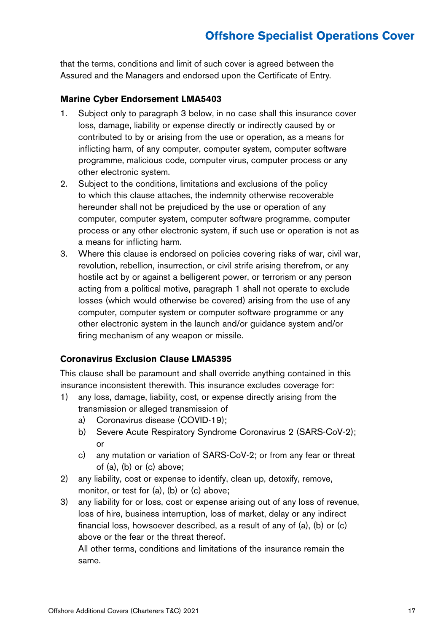that the terms, conditions and limit of such cover is agreed between the Assured and the Managers and endorsed upon the Certificate of Entry.

#### **Marine Cyber Endorsement LMA5403**

- 1. Subject only to paragraph 3 below, in no case shall this insurance cover loss, damage, liability or expense directly or indirectly caused by or contributed to by or arising from the use or operation, as a means for inflicting harm, of any computer, computer system, computer software programme, malicious code, computer virus, computer process or any other electronic system.
- 2. Subject to the conditions, limitations and exclusions of the policy to which this clause attaches, the indemnity otherwise recoverable hereunder shall not be prejudiced by the use or operation of any computer, computer system, computer software programme, computer process or any other electronic system, if such use or operation is not as a means for inflicting harm.
- 3. Where this clause is endorsed on policies covering risks of war, civil war, revolution, rebellion, insurrection, or civil strife arising therefrom, or any hostile act by or against a belligerent power, or terrorism or any person acting from a political motive, paragraph 1 shall not operate to exclude losses (which would otherwise be covered) arising from the use of any computer, computer system or computer software programme or any other electronic system in the launch and/or guidance system and/or firing mechanism of any weapon or missile.

#### **Coronavirus Exclusion Clause LMA5395**

This clause shall be paramount and shall override anything contained in this insurance inconsistent therewith. This insurance excludes coverage for:

- 1) any loss, damage, liability, cost, or expense directly arising from the transmission or alleged transmission of
	- a) Coronavirus disease (COVID-19);
	- b) Severe Acute Respiratory Syndrome Coronavirus 2 (SARS-CoV-2); or
	- c) any mutation or variation of SARS-CoV-2; or from any fear or threat of (a), (b) or (c) above;
- 2) any liability, cost or expense to identify, clean up, detoxify, remove, monitor, or test for (a), (b) or (c) above;
- 3) any liability for or loss, cost or expense arising out of any loss of revenue, loss of hire, business interruption, loss of market, delay or any indirect financial loss, howsoever described, as a result of any of (a), (b) or (c) above or the fear or the threat thereof.

All other terms, conditions and limitations of the insurance remain the same.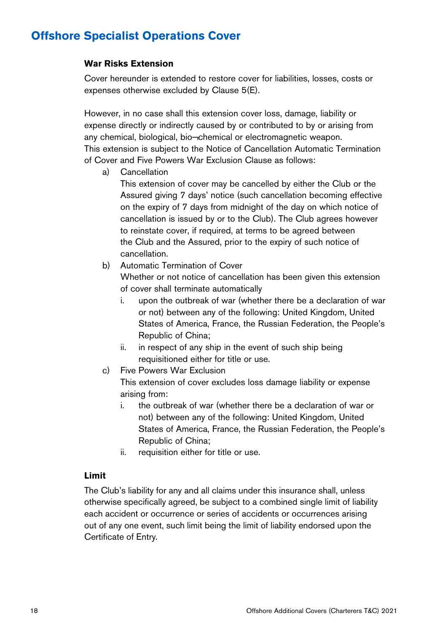#### **War Risks Extension**

Cover hereunder is extended to restore cover for liabilities, losses, costs or expenses otherwise excluded by Clause 5(E).

However, in no case shall this extension cover loss, damage, liability or expense directly or indirectly caused by or contributed to by or arising from any chemical, biological, bio¬chemical or electromagnetic weapon. This extension is subject to the Notice of Cancellation Automatic Termination of Cover and Five Powers War Exclusion Clause as follows:

a) Cancellation

This extension of cover may be cancelled by either the Club or the Assured giving 7 days' notice (such cancellation becoming effective on the expiry of 7 days from midnight of the day on which notice of cancellation is issued by or to the Club). The Club agrees however to reinstate cover, if required, at terms to be agreed between the Club and the Assured, prior to the expiry of such notice of cancellation.

b) Automatic Termination of Cover

Whether or not notice of cancellation has been given this extension of cover shall terminate automatically

- i. upon the outbreak of war (whether there be a declaration of war or not) between any of the following: United Kingdom, United States of America, France, the Russian Federation, the People's Republic of China;
- ii. in respect of any ship in the event of such ship being requisitioned either for title or use.
- c) Five Powers War Exclusion

This extension of cover excludes loss damage liability or expense arising from:

- i. the outbreak of war (whether there be a declaration of war or not) between any of the following: United Kingdom, United States of America, France, the Russian Federation, the People's Republic of China;
- ii. requisition either for title or use.

#### **Limit**

The Club's liability for any and all claims under this insurance shall, unless otherwise specifically agreed, be subject to a combined single limit of liability each accident or occurrence or series of accidents or occurrences arising out of any one event, such limit being the limit of liability endorsed upon the Certificate of Entry.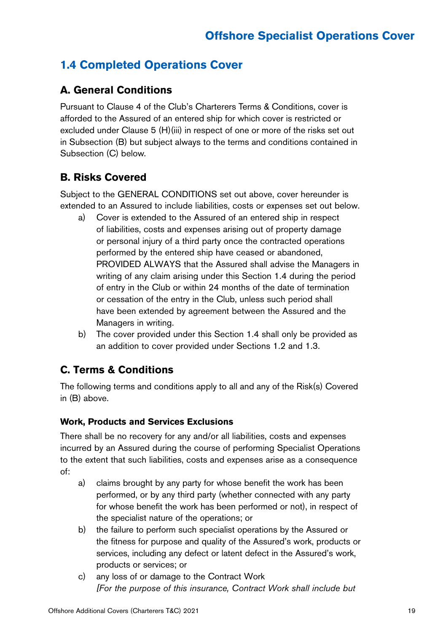### **1.4 Completed Operations Cover**

### **A. General Conditions**

Pursuant to Clause 4 of the Club's Charterers Terms & Conditions, cover is afforded to the Assured of an entered ship for which cover is restricted or excluded under Clause 5 (H)(iii) in respect of one or more of the risks set out in Subsection (B) but subject always to the terms and conditions contained in Subsection (C) below.

### **B. Risks Covered**

Subject to the GENERAL CONDITIONS set out above, cover hereunder is extended to an Assured to include liabilities, costs or expenses set out below.

- a) Cover is extended to the Assured of an entered ship in respect of liabilities, costs and expenses arising out of property damage or personal injury of a third party once the contracted operations performed by the entered ship have ceased or abandoned, PROVIDED ALWAYS that the Assured shall advise the Managers in writing of any claim arising under this Section 1.4 during the period of entry in the Club or within 24 months of the date of termination or cessation of the entry in the Club, unless such period shall have been extended by agreement between the Assured and the Managers in writing.
- b) The cover provided under this Section 1.4 shall only be provided as an addition to cover provided under Sections 1.2 and 1.3.

### **C. Terms & Conditions**

The following terms and conditions apply to all and any of the Risk(s) Covered in (B) above.

#### **Work, Products and Services Exclusions**

There shall be no recovery for any and/or all liabilities, costs and expenses incurred by an Assured during the course of performing Specialist Operations to the extent that such liabilities, costs and expenses arise as a consequence of:

- a) claims brought by any party for whose benefit the work has been performed, or by any third party (whether connected with any party for whose benefit the work has been performed or not), in respect of the specialist nature of the operations; or
- b) the failure to perform such specialist operations by the Assured or the fitness for purpose and quality of the Assured's work, products or services, including any defect or latent defect in the Assured's work, products or services; or
- c) any loss of or damage to the Contract Work *[For the purpose of this insurance, Contract Work shall include but*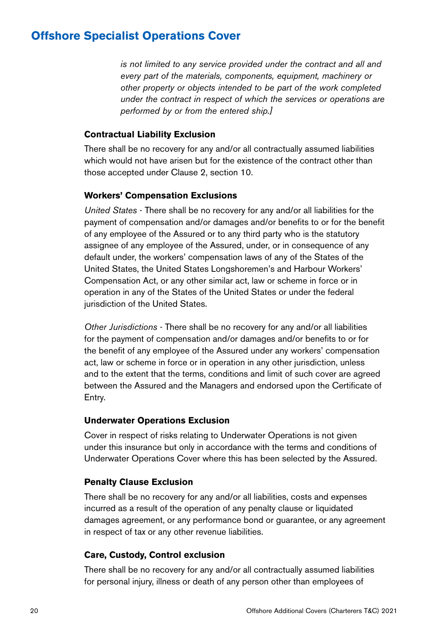*is not limited to any service provided under the contract and all and every part of the materials, components, equipment, machinery or other property or objects intended to be part of the work completed under the contract in respect of which the services or operations are performed by or from the entered ship.]*

#### **Contractual Liability Exclusion**

There shall be no recovery for any and/or all contractually assumed liabilities which would not have arisen but for the existence of the contract other than those accepted under Clause 2, section 10.

#### **Workers' Compensation Exclusions**

*United States* - There shall be no recovery for any and/or all liabilities for the payment of compensation and/or damages and/or benefits to or for the benefit of any employee of the Assured or to any third party who is the statutory assignee of any employee of the Assured, under, or in consequence of any default under, the workers' compensation laws of any of the States of the United States, the United States Longshoremen's and Harbour Workers' Compensation Act, or any other similar act, law or scheme in force or in operation in any of the States of the United States or under the federal jurisdiction of the United States.

*Other Jurisdictions* - There shall be no recovery for any and/or all liabilities for the payment of compensation and/or damages and/or benefits to or for the benefit of any employee of the Assured under any workers' compensation act, law or scheme in force or in operation in any other jurisdiction, unless and to the extent that the terms, conditions and limit of such cover are agreed between the Assured and the Managers and endorsed upon the Certificate of Entry.

#### **Underwater Operations Exclusion**

Cover in respect of risks relating to Underwater Operations is not given under this insurance but only in accordance with the terms and conditions of Underwater Operations Cover where this has been selected by the Assured.

#### **Penalty Clause Exclusion**

There shall be no recovery for any and/or all liabilities, costs and expenses incurred as a result of the operation of any penalty clause or liquidated damages agreement, or any performance bond or guarantee, or any agreement in respect of tax or any other revenue liabilities.

#### **Care, Custody, Control exclusion**

There shall be no recovery for any and/or all contractually assumed liabilities for personal injury, illness or death of any person other than employees of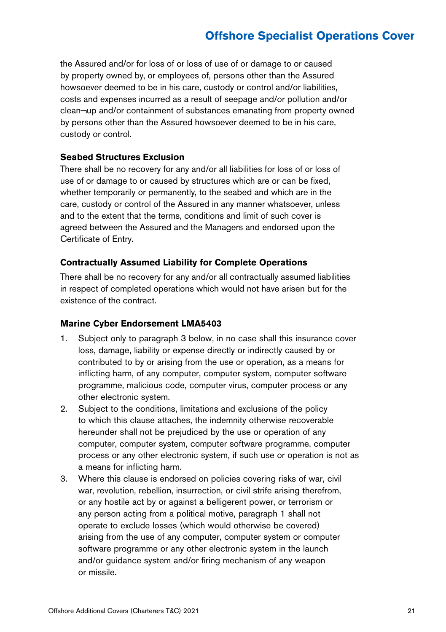the Assured and/or for loss of or loss of use of or damage to or caused by property owned by, or employees of, persons other than the Assured howsoever deemed to be in his care, custody or control and/or liabilities, costs and expenses incurred as a result of seepage and/or pollution and/or clean¬up and/or containment of substances emanating from property owned by persons other than the Assured howsoever deemed to be in his care, custody or control.

#### **Seabed Structures Exclusion**

There shall be no recovery for any and/or all liabilities for loss of or loss of use of or damage to or caused by structures which are or can be fixed, whether temporarily or permanently, to the seabed and which are in the care, custody or control of the Assured in any manner whatsoever, unless and to the extent that the terms, conditions and limit of such cover is agreed between the Assured and the Managers and endorsed upon the Certificate of Entry.

#### **Contractually Assumed Liability for Complete Operations**

There shall be no recovery for any and/or all contractually assumed liabilities in respect of completed operations which would not have arisen but for the existence of the contract.

#### **Marine Cyber Endorsement LMA5403**

- 1. Subject only to paragraph 3 below, in no case shall this insurance cover loss, damage, liability or expense directly or indirectly caused by or contributed to by or arising from the use or operation, as a means for inflicting harm, of any computer, computer system, computer software programme, malicious code, computer virus, computer process or any other electronic system.
- 2. Subject to the conditions, limitations and exclusions of the policy to which this clause attaches, the indemnity otherwise recoverable hereunder shall not be prejudiced by the use or operation of any computer, computer system, computer software programme, computer process or any other electronic system, if such use or operation is not as a means for inflicting harm.
- 3. Where this clause is endorsed on policies covering risks of war, civil war, revolution, rebellion, insurrection, or civil strife arising therefrom, or any hostile act by or against a belligerent power, or terrorism or any person acting from a political motive, paragraph 1 shall not operate to exclude losses (which would otherwise be covered) arising from the use of any computer, computer system or computer software programme or any other electronic system in the launch and/or guidance system and/or firing mechanism of any weapon or missile.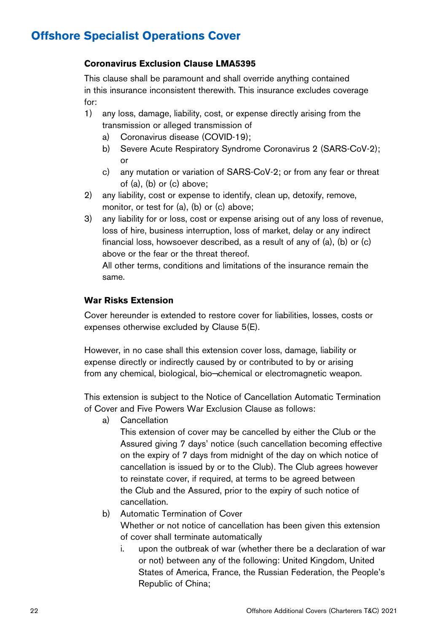#### **Coronavirus Exclusion Clause LMA5395**

This clause shall be paramount and shall override anything contained in this insurance inconsistent therewith. This insurance excludes coverage for:

- 1) any loss, damage, liability, cost, or expense directly arising from the transmission or alleged transmission of
	- a) Coronavirus disease (COVID-19);
	- b) Severe Acute Respiratory Syndrome Coronavirus 2 (SARS-CoV-2); or
	- c) any mutation or variation of SARS-CoV-2; or from any fear or threat of (a), (b) or (c) above;
- 2) any liability, cost or expense to identify, clean up, detoxify, remove, monitor, or test for (a), (b) or (c) above;
- 3) any liability for or loss, cost or expense arising out of any loss of revenue, loss of hire, business interruption, loss of market, delay or any indirect financial loss, howsoever described, as a result of any of (a), (b) or (c) above or the fear or the threat thereof.

All other terms, conditions and limitations of the insurance remain the same.

#### **War Risks Extension**

Cover hereunder is extended to restore cover for liabilities, losses, costs or expenses otherwise excluded by Clause 5(E).

However, in no case shall this extension cover loss, damage, liability or expense directly or indirectly caused by or contributed to by or arising from any chemical, biological, bio¬chemical or electromagnetic weapon.

This extension is subject to the Notice of Cancellation Automatic Termination of Cover and Five Powers War Exclusion Clause as follows:

a) Cancellation

This extension of cover may be cancelled by either the Club or the Assured giving 7 days' notice (such cancellation becoming effective on the expiry of 7 days from midnight of the day on which notice of cancellation is issued by or to the Club). The Club agrees however to reinstate cover, if required, at terms to be agreed between the Club and the Assured, prior to the expiry of such notice of cancellation.

b) Automatic Termination of Cover

Whether or not notice of cancellation has been given this extension of cover shall terminate automatically

i. upon the outbreak of war (whether there be a declaration of war or not) between any of the following: United Kingdom, United States of America, France, the Russian Federation, the People's Republic of China;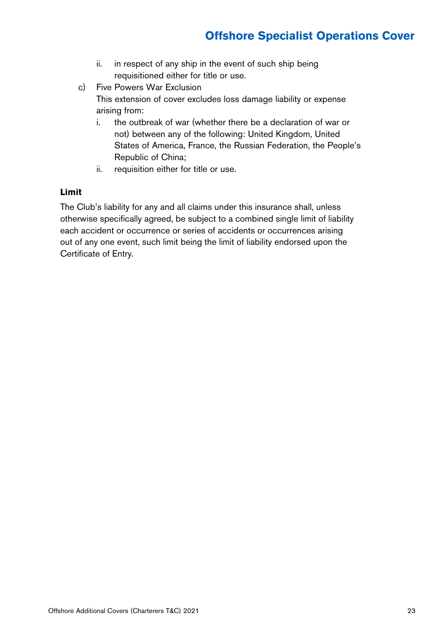- ii. in respect of any ship in the event of such ship being requisitioned either for title or use.
- c) Five Powers War Exclusion This extension of cover excludes loss damage liability or expense arising from:
	- i. the outbreak of war (whether there be a declaration of war or not) between any of the following: United Kingdom, United States of America, France, the Russian Federation, the People's Republic of China;
	- ii. requisition either for title or use.

#### **Limit**

The Club's liability for any and all claims under this insurance shall, unless otherwise specifically agreed, be subject to a combined single limit of liability each accident or occurrence or series of accidents or occurrences arising out of any one event, such limit being the limit of liability endorsed upon the Certificate of Entry.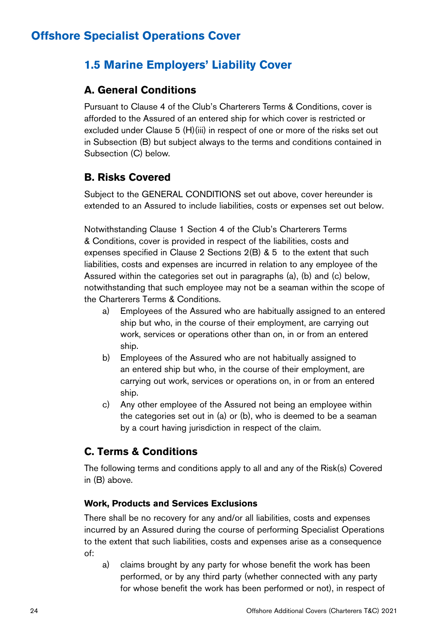### **1.5 Marine Employers' Liability Cover**

### **A. General Conditions**

Pursuant to Clause 4 of the Club's Charterers Terms & Conditions, cover is afforded to the Assured of an entered ship for which cover is restricted or excluded under Clause 5 (H)(iii) in respect of one or more of the risks set out in Subsection (B) but subject always to the terms and conditions contained in Subsection (C) below.

### **B. Risks Covered**

Subject to the GENERAL CONDITIONS set out above, cover hereunder is extended to an Assured to include liabilities, costs or expenses set out below.

Notwithstanding Clause 1 Section 4 of the Club's Charterers Terms & Conditions, cover is provided in respect of the liabilities, costs and expenses specified in Clause 2 Sections 2(B) & 5 to the extent that such liabilities, costs and expenses are incurred in relation to any employee of the Assured within the categories set out in paragraphs (a), (b) and (c) below, notwithstanding that such employee may not be a seaman within the scope of the Charterers Terms & Conditions.

- a) Employees of the Assured who are habitually assigned to an entered ship but who, in the course of their employment, are carrying out work, services or operations other than on, in or from an entered ship.
- b) Employees of the Assured who are not habitually assigned to an entered ship but who, in the course of their employment, are carrying out work, services or operations on, in or from an entered ship.
- c) Any other employee of the Assured not being an employee within the categories set out in (a) or (b), who is deemed to be a seaman by a court having jurisdiction in respect of the claim.

### **C. Terms & Conditions**

The following terms and conditions apply to all and any of the Risk(s) Covered in (B) above.

#### **Work, Products and Services Exclusions**

There shall be no recovery for any and/or all liabilities, costs and expenses incurred by an Assured during the course of performing Specialist Operations to the extent that such liabilities, costs and expenses arise as a consequence of:

a) claims brought by any party for whose benefit the work has been performed, or by any third party (whether connected with any party for whose benefit the work has been performed or not), in respect of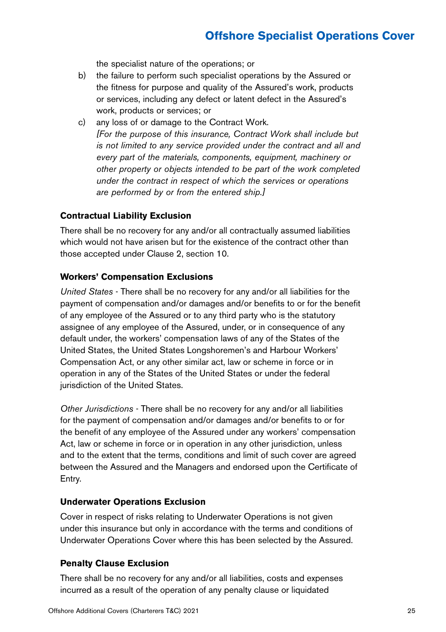the specialist nature of the operations; or

- b) the failure to perform such specialist operations by the Assured or the fitness for purpose and quality of the Assured's work, products or services, including any defect or latent defect in the Assured's work, products or services; or
- c) any loss of or damage to the Contract Work. *[For the purpose of this insurance, Contract Work shall include but is not limited to any service provided under the contract and all and every part of the materials, components, equipment, machinery or other property or objects intended to be part of the work completed under the contract in respect of which the services or operations are performed by or from the entered ship.]*

#### **Contractual Liability Exclusion**

There shall be no recovery for any and/or all contractually assumed liabilities which would not have arisen but for the existence of the contract other than those accepted under Clause 2, section 10.

#### **Workers' Compensation Exclusions**

*United States* - There shall be no recovery for any and/or all liabilities for the payment of compensation and/or damages and/or benefits to or for the benefit of any employee of the Assured or to any third party who is the statutory assignee of any employee of the Assured, under, or in consequence of any default under, the workers' compensation laws of any of the States of the United States, the United States Longshoremen's and Harbour Workers' Compensation Act, or any other similar act, law or scheme in force or in operation in any of the States of the United States or under the federal jurisdiction of the United States.

*Other Jurisdictions* - There shall be no recovery for any and/or all liabilities for the payment of compensation and/or damages and/or benefits to or for the benefit of any employee of the Assured under any workers' compensation Act, law or scheme in force or in operation in any other jurisdiction, unless and to the extent that the terms, conditions and limit of such cover are agreed between the Assured and the Managers and endorsed upon the Certificate of Entry.

#### **Underwater Operations Exclusion**

Cover in respect of risks relating to Underwater Operations is not given under this insurance but only in accordance with the terms and conditions of Underwater Operations Cover where this has been selected by the Assured.

#### **Penalty Clause Exclusion**

There shall be no recovery for any and/or all liabilities, costs and expenses incurred as a result of the operation of any penalty clause or liquidated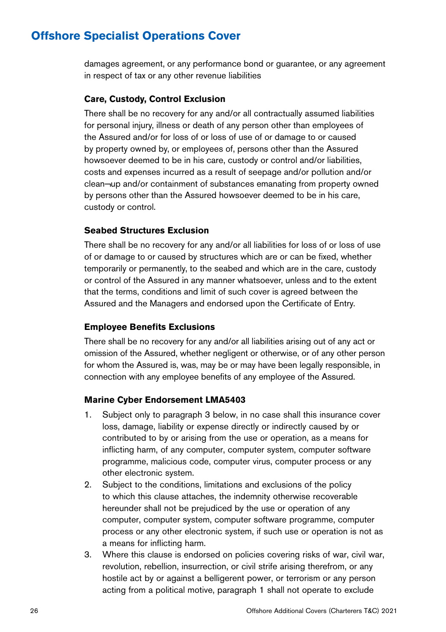damages agreement, or any performance bond or guarantee, or any agreement in respect of tax or any other revenue liabilities

#### **Care, Custody, Control Exclusion**

There shall be no recovery for any and/or all contractually assumed liabilities for personal injury, illness or death of any person other than employees of the Assured and/or for loss of or loss of use of or damage to or caused by property owned by, or employees of, persons other than the Assured howsoever deemed to be in his care, custody or control and/or liabilities, costs and expenses incurred as a result of seepage and/or pollution and/or clean¬up and/or containment of substances emanating from property owned by persons other than the Assured howsoever deemed to be in his care, custody or control.

#### **Seabed Structures Exclusion**

There shall be no recovery for any and/or all liabilities for loss of or loss of use of or damage to or caused by structures which are or can be fixed, whether temporarily or permanently, to the seabed and which are in the care, custody or control of the Assured in any manner whatsoever, unless and to the extent that the terms, conditions and limit of such cover is agreed between the Assured and the Managers and endorsed upon the Certificate of Entry.

#### **Employee Benefits Exclusions**

There shall be no recovery for any and/or all liabilities arising out of any act or omission of the Assured, whether negligent or otherwise, or of any other person for whom the Assured is, was, may be or may have been legally responsible, in connection with any employee benefits of any employee of the Assured.

#### **Marine Cyber Endorsement LMA5403**

- 1. Subject only to paragraph 3 below, in no case shall this insurance cover loss, damage, liability or expense directly or indirectly caused by or contributed to by or arising from the use or operation, as a means for inflicting harm, of any computer, computer system, computer software programme, malicious code, computer virus, computer process or any other electronic system.
- 2. Subject to the conditions, limitations and exclusions of the policy to which this clause attaches, the indemnity otherwise recoverable hereunder shall not be prejudiced by the use or operation of any computer, computer system, computer software programme, computer process or any other electronic system, if such use or operation is not as a means for inflicting harm.
- 3. Where this clause is endorsed on policies covering risks of war, civil war, revolution, rebellion, insurrection, or civil strife arising therefrom, or any hostile act by or against a belligerent power, or terrorism or any person acting from a political motive, paragraph 1 shall not operate to exclude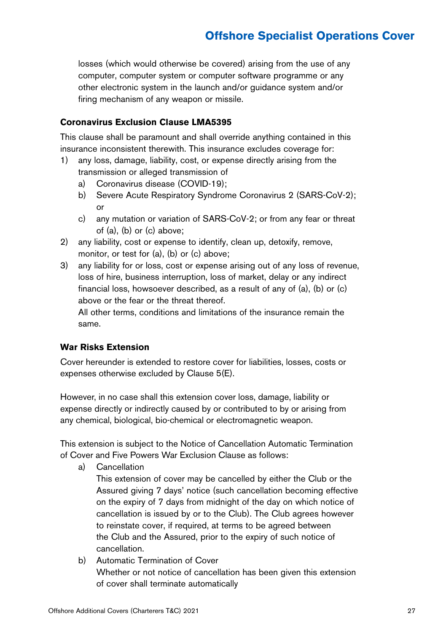losses (which would otherwise be covered) arising from the use of any computer, computer system or computer software programme or any other electronic system in the launch and/or guidance system and/or firing mechanism of any weapon or missile.

#### **Coronavirus Exclusion Clause LMA5395**

This clause shall be paramount and shall override anything contained in this insurance inconsistent therewith. This insurance excludes coverage for:

- 1) any loss, damage, liability, cost, or expense directly arising from the transmission or alleged transmission of
	- a) Coronavirus disease (COVID-19);
	- b) Severe Acute Respiratory Syndrome Coronavirus 2 (SARS-CoV-2): or
	- c) any mutation or variation of SARS-CoV-2; or from any fear or threat of (a), (b) or (c) above;
- 2) any liability, cost or expense to identify, clean up, detoxify, remove, monitor, or test for (a), (b) or (c) above;
- 3) any liability for or loss, cost or expense arising out of any loss of revenue, loss of hire, business interruption, loss of market, delay or any indirect financial loss, howsoever described, as a result of any of (a), (b) or (c) above or the fear or the threat thereof.

All other terms, conditions and limitations of the insurance remain the same.

#### **War Risks Extension**

Cover hereunder is extended to restore cover for liabilities, losses, costs or expenses otherwise excluded by Clause 5(E).

However, in no case shall this extension cover loss, damage, liability or expense directly or indirectly caused by or contributed to by or arising from any chemical, biological, bio-chemical or electromagnetic weapon.

This extension is subject to the Notice of Cancellation Automatic Termination of Cover and Five Powers War Exclusion Clause as follows:

- a) Cancellation
	- This extension of cover may be cancelled by either the Club or the Assured giving 7 days' notice (such cancellation becoming effective on the expiry of 7 days from midnight of the day on which notice of cancellation is issued by or to the Club). The Club agrees however to reinstate cover, if required, at terms to be agreed between the Club and the Assured, prior to the expiry of such notice of cancellation.
- b) Automatic Termination of Cover Whether or not notice of cancellation has been given this extension of cover shall terminate automatically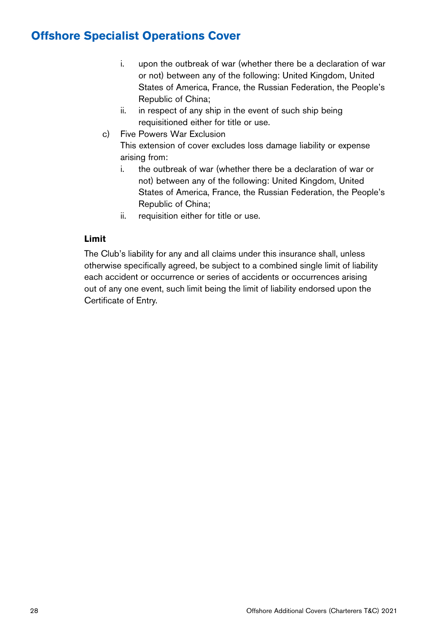- i. upon the outbreak of war (whether there be a declaration of war or not) between any of the following: United Kingdom, United States of America, France, the Russian Federation, the People's Republic of China;
- ii. in respect of any ship in the event of such ship being requisitioned either for title or use.
- c) Five Powers War Exclusion This extension of cover excludes loss damage liability or expense arising from:
	- i. the outbreak of war (whether there be a declaration of war or not) between any of the following: United Kingdom, United States of America, France, the Russian Federation, the People's Republic of China;
	- ii. requisition either for title or use.

#### **Limit**

The Club's liability for any and all claims under this insurance shall, unless otherwise specifically agreed, be subject to a combined single limit of liability each accident or occurrence or series of accidents or occurrences arising out of any one event, such limit being the limit of liability endorsed upon the Certificate of Entry.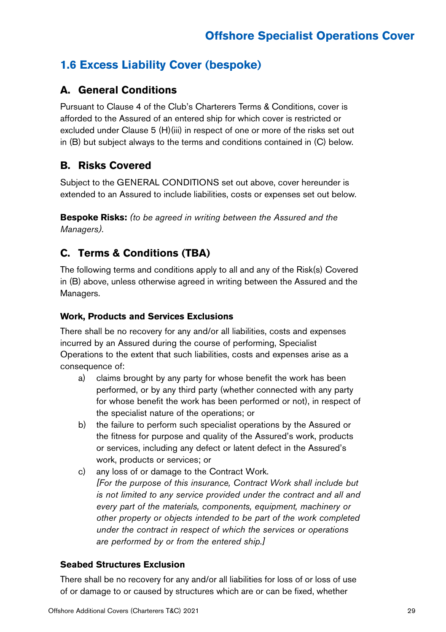### **1.6 Excess Liability Cover (bespoke)**

### **A. General Conditions**

Pursuant to Clause 4 of the Club's Charterers Terms & Conditions, cover is afforded to the Assured of an entered ship for which cover is restricted or excluded under Clause 5 (H)(iii) in respect of one or more of the risks set out in (B) but subject always to the terms and conditions contained in (C) below.

### **B. Risks Covered**

Subject to the GENERAL CONDITIONS set out above, cover hereunder is extended to an Assured to include liabilities, costs or expenses set out below.

**Bespoke Risks:** *(to be agreed in writing between the Assured and the Managers).*

### **C. Terms & Conditions (TBA)**

The following terms and conditions apply to all and any of the Risk(s) Covered in (B) above, unless otherwise agreed in writing between the Assured and the Managers.

#### **Work, Products and Services Exclusions**

There shall be no recovery for any and/or all liabilities, costs and expenses incurred by an Assured during the course of performing, Specialist Operations to the extent that such liabilities, costs and expenses arise as a consequence of:

- a) claims brought by any party for whose benefit the work has been performed, or by any third party (whether connected with any party for whose benefit the work has been performed or not), in respect of the specialist nature of the operations; or
- b) the failure to perform such specialist operations by the Assured or the fitness for purpose and quality of the Assured's work, products or services, including any defect or latent defect in the Assured's work, products or services; or
- c) any loss of or damage to the Contract Work. *[For the purpose of this insurance, Contract Work shall include but is not limited to any service provided under the contract and all and every part of the materials, components, equipment, machinery or other property or objects intended to be part of the work completed under the contract in respect of which the services or operations are performed by or from the entered ship.]*

#### **Seabed Structures Exclusion**

There shall be no recovery for any and/or all liabilities for loss of or loss of use of or damage to or caused by structures which are or can be fixed, whether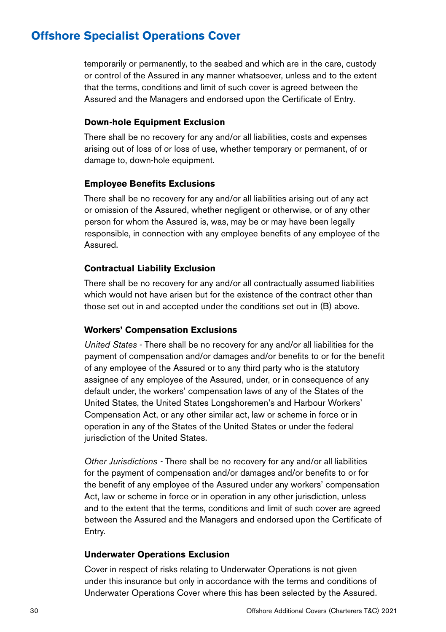temporarily or permanently, to the seabed and which are in the care, custody or control of the Assured in any manner whatsoever, unless and to the extent that the terms, conditions and limit of such cover is agreed between the Assured and the Managers and endorsed upon the Certificate of Entry.

#### **Down-hole Equipment Exclusion**

There shall be no recovery for any and/or all liabilities, costs and expenses arising out of loss of or loss of use, whether temporary or permanent, of or damage to, down-hole equipment.

#### **Employee Benefits Exclusions**

There shall be no recovery for any and/or all liabilities arising out of any act or omission of the Assured, whether negligent or otherwise, or of any other person for whom the Assured is, was, may be or may have been legally responsible, in connection with any employee benefits of any employee of the Assured.

#### **Contractual Liability Exclusion**

There shall be no recovery for any and/or all contractually assumed liabilities which would not have arisen but for the existence of the contract other than those set out in and accepted under the conditions set out in (B) above.

#### **Workers' Compensation Exclusions**

*United States* - There shall be no recovery for any and/or all liabilities for the payment of compensation and/or damages and/or benefits to or for the benefit of any employee of the Assured or to any third party who is the statutory assignee of any employee of the Assured, under, or in consequence of any default under, the workers' compensation laws of any of the States of the United States, the United States Longshoremen's and Harbour Workers' Compensation Act, or any other similar act, law or scheme in force or in operation in any of the States of the United States or under the federal jurisdiction of the United States.

*Other Jurisdictions -* There shall be no recovery for any and/or all liabilities for the payment of compensation and/or damages and/or benefits to or for the benefit of any employee of the Assured under any workers' compensation Act, law or scheme in force or in operation in any other jurisdiction, unless and to the extent that the terms, conditions and limit of such cover are agreed between the Assured and the Managers and endorsed upon the Certificate of Entry.

#### **Underwater Operations Exclusion**

Cover in respect of risks relating to Underwater Operations is not given under this insurance but only in accordance with the terms and conditions of Underwater Operations Cover where this has been selected by the Assured.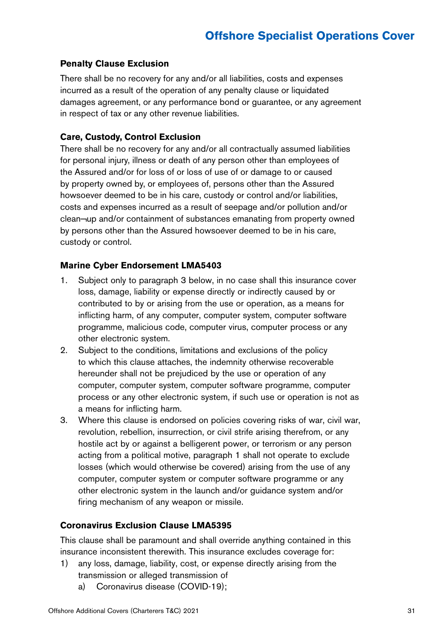#### **Penalty Clause Exclusion**

There shall be no recovery for any and/or all liabilities, costs and expenses incurred as a result of the operation of any penalty clause or liquidated damages agreement, or any performance bond or guarantee, or any agreement in respect of tax or any other revenue liabilities.

#### **Care, Custody, Control Exclusion**

There shall be no recovery for any and/or all contractually assumed liabilities for personal injury, illness or death of any person other than employees of the Assured and/or for loss of or loss of use of or damage to or caused by property owned by, or employees of, persons other than the Assured howsoever deemed to be in his care, custody or control and/or liabilities, costs and expenses incurred as a result of seepage and/or pollution and/or clean¬up and/or containment of substances emanating from property owned by persons other than the Assured howsoever deemed to be in his care, custody or control.

#### **Marine Cyber Endorsement LMA5403**

- 1. Subject only to paragraph 3 below, in no case shall this insurance cover loss, damage, liability or expense directly or indirectly caused by or contributed to by or arising from the use or operation, as a means for inflicting harm, of any computer, computer system, computer software programme, malicious code, computer virus, computer process or any other electronic system.
- 2. Subject to the conditions, limitations and exclusions of the policy to which this clause attaches, the indemnity otherwise recoverable hereunder shall not be prejudiced by the use or operation of any computer, computer system, computer software programme, computer process or any other electronic system, if such use or operation is not as a means for inflicting harm.
- 3. Where this clause is endorsed on policies covering risks of war, civil war, revolution, rebellion, insurrection, or civil strife arising therefrom, or any hostile act by or against a belligerent power, or terrorism or any person acting from a political motive, paragraph 1 shall not operate to exclude losses (which would otherwise be covered) arising from the use of any computer, computer system or computer software programme or any other electronic system in the launch and/or guidance system and/or firing mechanism of any weapon or missile.

#### **Coronavirus Exclusion Clause LMA5395**

This clause shall be paramount and shall override anything contained in this insurance inconsistent therewith. This insurance excludes coverage for:

- 1) any loss, damage, liability, cost, or expense directly arising from the transmission or alleged transmission of
	- a) Coronavirus disease (COVID-19);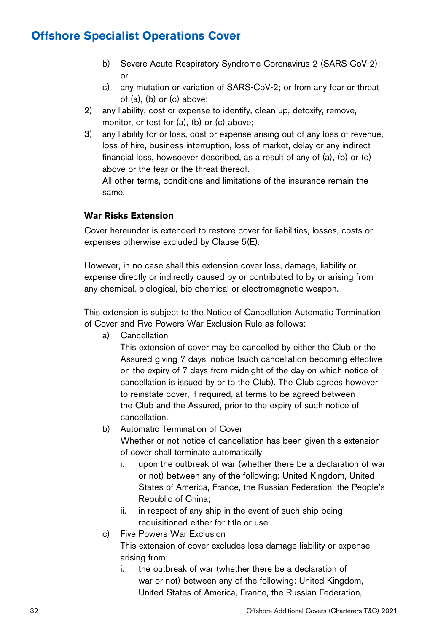- b) Severe Acute Respiratory Syndrome Coronavirus 2 (SARS-CoV-2); or
- c) any mutation or variation of SARS-CoV-2; or from any fear or threat of (a), (b) or (c) above;
- 2) any liability, cost or expense to identify, clean up, detoxify, remove, monitor, or test for (a), (b) or (c) above;
- 3) any liability for or loss, cost or expense arising out of any loss of revenue, loss of hire, business interruption, loss of market, delay or any indirect financial loss, howsoever described, as a result of any of (a), (b) or (c) above or the fear or the threat thereof.

All other terms, conditions and limitations of the insurance remain the same.

#### **War Risks Extension**

Cover hereunder is extended to restore cover for liabilities, losses, costs or expenses otherwise excluded by Clause 5(E).

However, in no case shall this extension cover loss, damage, liability or expense directly or indirectly caused by or contributed to by or arising from any chemical, biological, bio-chemical or electromagnetic weapon.

This extension is subject to the Notice of Cancellation Automatic Termination of Cover and Five Powers War Exclusion Rule as follows:

a) Cancellation

This extension of cover may be cancelled by either the Club or the Assured giving 7 days' notice (such cancellation becoming effective on the expiry of 7 days from midnight of the day on which notice of cancellation is issued by or to the Club). The Club agrees however to reinstate cover, if required, at terms to be agreed between the Club and the Assured, prior to the expiry of such notice of cancellation.

- b) Automatic Termination of Cover Whether or not notice of cancellation has been given this extension of cover shall terminate automatically
	- i. upon the outbreak of war (whether there be a declaration of war or not) between any of the following: United Kingdom, United States of America, France, the Russian Federation, the People's Republic of China;
	- ii. in respect of any ship in the event of such ship being requisitioned either for title or use.
- c) Five Powers War Exclusion

This extension of cover excludes loss damage liability or expense arising from:

i. the outbreak of war (whether there be a declaration of war or not) between any of the following: United Kingdom, United States of America, France, the Russian Federation,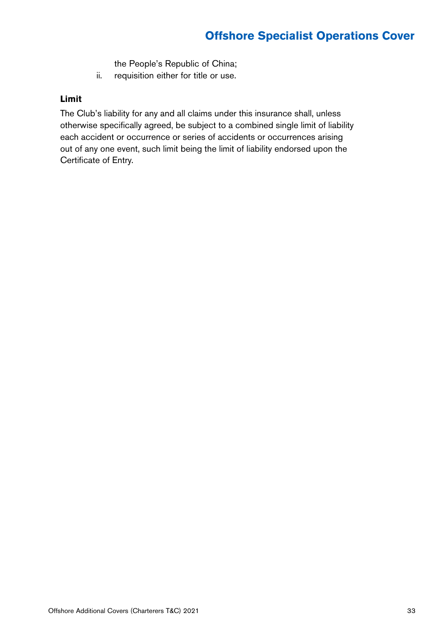the People's Republic of China;

ii. requisition either for title or use.

#### **Limit**

The Club's liability for any and all claims under this insurance shall, unless otherwise specifically agreed, be subject to a combined single limit of liability each accident or occurrence or series of accidents or occurrences arising out of any one event, such limit being the limit of liability endorsed upon the Certificate of Entry.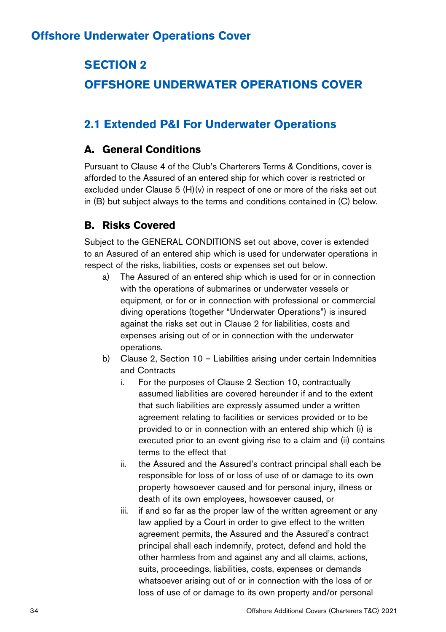### **SECTION 2**

### **OFFSHORE UNDERWATER OPERATIONS COVER**

### **2.1 Extended P&I For Underwater Operations**

### **A. General Conditions**

Pursuant to Clause 4 of the Club's Charterers Terms & Conditions, cover is afforded to the Assured of an entered ship for which cover is restricted or excluded under Clause 5 (H)(v) in respect of one or more of the risks set out in (B) but subject always to the terms and conditions contained in (C) below.

### **B. Risks Covered**

Subject to the GENERAL CONDITIONS set out above, cover is extended to an Assured of an entered ship which is used for underwater operations in respect of the risks, liabilities, costs or expenses set out below.

- a) The Assured of an entered ship which is used for or in connection with the operations of submarines or underwater vessels or equipment, or for or in connection with professional or commercial diving operations (together "Underwater Operations") is insured against the risks set out in Clause 2 for liabilities, costs and expenses arising out of or in connection with the underwater operations.
- b) Clause 2, Section 10 Liabilities arising under certain Indemnities and Contracts
	- i. For the purposes of Clause 2 Section 10, contractually assumed liabilities are covered hereunder if and to the extent that such liabilities are expressly assumed under a written agreement relating to facilities or services provided or to be provided to or in connection with an entered ship which (i) is executed prior to an event giving rise to a claim and (ii) contains terms to the effect that
	- ii. the Assured and the Assured's contract principal shall each be responsible for loss of or loss of use of or damage to its own property howsoever caused and for personal injury, illness or death of its own employees, howsoever caused, or
	- iii. if and so far as the proper law of the written agreement or any law applied by a Court in order to give effect to the written agreement permits, the Assured and the Assured's contract principal shall each indemnify, protect, defend and hold the other harmless from and against any and all claims, actions, suits, proceedings, liabilities, costs, expenses or demands whatsoever arising out of or in connection with the loss of or loss of use of or damage to its own property and/or personal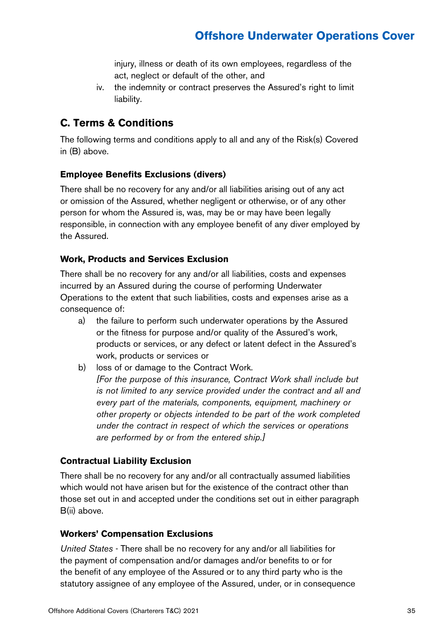injury, illness or death of its own employees, regardless of the act, neglect or default of the other, and

iv. the indemnity or contract preserves the Assured's right to limit liability.

### **C. Terms & Conditions**

The following terms and conditions apply to all and any of the Risk(s) Covered in (B) above.

#### **Employee Benefits Exclusions (divers)**

There shall be no recovery for any and/or all liabilities arising out of any act or omission of the Assured, whether negligent or otherwise, or of any other person for whom the Assured is, was, may be or may have been legally responsible, in connection with any employee benefit of any diver employed by the Assured.

#### **Work, Products and Services Exclusion**

There shall be no recovery for any and/or all liabilities, costs and expenses incurred by an Assured during the course of performing Underwater Operations to the extent that such liabilities, costs and expenses arise as a consequence of:

- a) the failure to perform such underwater operations by the Assured or the fitness for purpose and/or quality of the Assured's work, products or services, or any defect or latent defect in the Assured's work, products or services or
- b) loss of or damage to the Contract Work. *[For the purpose of this insurance, Contract Work shall include but is not limited to any service provided under the contract and all and every part of the materials, components, equipment, machinery or other property or objects intended to be part of the work completed under the contract in respect of which the services or operations are performed by or from the entered ship.]*

#### **Contractual Liability Exclusion**

There shall be no recovery for any and/or all contractually assumed liabilities which would not have arisen but for the existence of the contract other than those set out in and accepted under the conditions set out in either paragraph B(ii) above.

#### **Workers' Compensation Exclusions**

*United States* - There shall be no recovery for any and/or all liabilities for the payment of compensation and/or damages and/or benefits to or for the benefit of any employee of the Assured or to any third party who is the statutory assignee of any employee of the Assured, under, or in consequence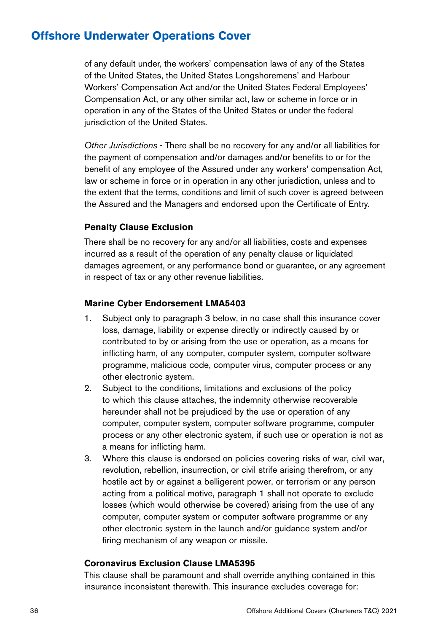of any default under, the workers' compensation laws of any of the States of the United States, the United States Longshoremens' and Harbour Workers' Compensation Act and/or the United States Federal Employees' Compensation Act, or any other similar act, law or scheme in force or in operation in any of the States of the United States or under the federal jurisdiction of the United States.

*Other Jurisdictions* - There shall be no recovery for any and/or all liabilities for the payment of compensation and/or damages and/or benefits to or for the benefit of any employee of the Assured under any workers' compensation Act, law or scheme in force or in operation in any other jurisdiction, unless and to the extent that the terms, conditions and limit of such cover is agreed between the Assured and the Managers and endorsed upon the Certificate of Entry.

#### **Penalty Clause Exclusion**

There shall be no recovery for any and/or all liabilities, costs and expenses incurred as a result of the operation of any penalty clause or liquidated damages agreement, or any performance bond or guarantee, or any agreement in respect of tax or any other revenue liabilities.

#### **Marine Cyber Endorsement LMA5403**

- 1. Subject only to paragraph 3 below, in no case shall this insurance cover loss, damage, liability or expense directly or indirectly caused by or contributed to by or arising from the use or operation, as a means for inflicting harm, of any computer, computer system, computer software programme, malicious code, computer virus, computer process or any other electronic system.
- 2. Subject to the conditions, limitations and exclusions of the policy to which this clause attaches, the indemnity otherwise recoverable hereunder shall not be prejudiced by the use or operation of any computer, computer system, computer software programme, computer process or any other electronic system, if such use or operation is not as a means for inflicting harm.
- 3. Where this clause is endorsed on policies covering risks of war, civil war, revolution, rebellion, insurrection, or civil strife arising therefrom, or any hostile act by or against a belligerent power, or terrorism or any person acting from a political motive, paragraph 1 shall not operate to exclude losses (which would otherwise be covered) arising from the use of any computer, computer system or computer software programme or any other electronic system in the launch and/or guidance system and/or firing mechanism of any weapon or missile.

#### **Coronavirus Exclusion Clause LMA5395**

This clause shall be paramount and shall override anything contained in this insurance inconsistent therewith. This insurance excludes coverage for: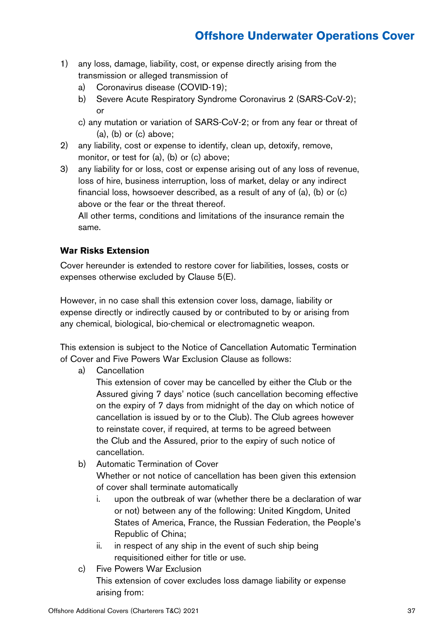- 1) any loss, damage, liability, cost, or expense directly arising from the transmission or alleged transmission of
	- a) Coronavirus disease (COVID-19);
	- b) Severe Acute Respiratory Syndrome Coronavirus 2 (SARS-CoV-2); or
	- c) any mutation or variation of SARS-CoV-2; or from any fear or threat of  $(a)$ ,  $(b)$  or  $(c)$  above;
- 2) any liability, cost or expense to identify, clean up, detoxify, remove, monitor, or test for (a), (b) or (c) above;
- 3) any liability for or loss, cost or expense arising out of any loss of revenue, loss of hire, business interruption, loss of market, delay or any indirect financial loss, howsoever described, as a result of any of (a), (b) or (c) above or the fear or the threat thereof.

All other terms, conditions and limitations of the insurance remain the same.

#### **War Risks Extension**

Cover hereunder is extended to restore cover for liabilities, losses, costs or expenses otherwise excluded by Clause 5(E).

However, in no case shall this extension cover loss, damage, liability or expense directly or indirectly caused by or contributed to by or arising from any chemical, biological, bio-chemical or electromagnetic weapon.

This extension is subject to the Notice of Cancellation Automatic Termination of Cover and Five Powers War Exclusion Clause as follows:

a) Cancellation

This extension of cover may be cancelled by either the Club or the Assured giving 7 days' notice (such cancellation becoming effective on the expiry of 7 days from midnight of the day on which notice of cancellation is issued by or to the Club). The Club agrees however to reinstate cover, if required, at terms to be agreed between the Club and the Assured, prior to the expiry of such notice of cancellation.

- b) Automatic Termination of Cover Whether or not notice of cancellation has been given this extension of cover shall terminate automatically
	- i. upon the outbreak of war (whether there be a declaration of war or not) between any of the following: United Kingdom, United States of America, France, the Russian Federation, the People's Republic of China;
	- ii. in respect of any ship in the event of such ship being requisitioned either for title or use.
- c) Five Powers War Exclusion This extension of cover excludes loss damage liability or expense arising from: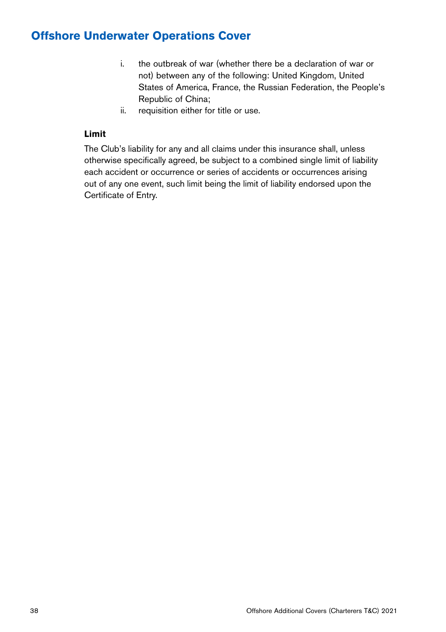- i. the outbreak of war (whether there be a declaration of war or not) between any of the following: United Kingdom, United States of America, France, the Russian Federation, the People's Republic of China;
- ii. requisition either for title or use.

#### **Limit**

The Club's liability for any and all claims under this insurance shall, unless otherwise specifically agreed, be subject to a combined single limit of liability each accident or occurrence or series of accidents or occurrences arising out of any one event, such limit being the limit of liability endorsed upon the Certificate of Entry.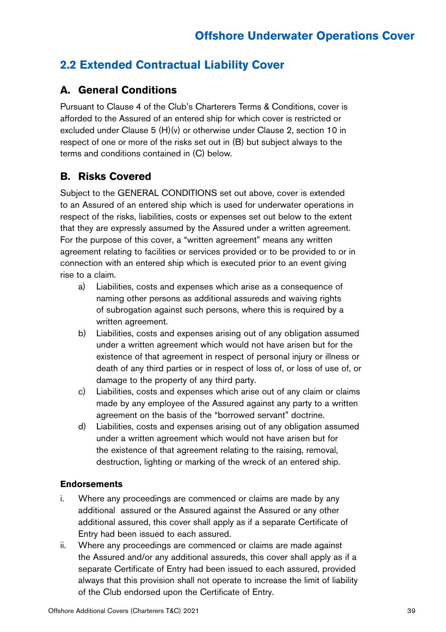### **2.2 Extended Contractual Liability Cover**

### **A. General Conditions**

Pursuant to Clause 4 of the Club's Charterers Terms & Conditions, cover is afforded to the Assured of an entered ship for which cover is restricted or excluded under Clause 5 (H)(v) or otherwise under Clause 2, section 10 in respect of one or more of the risks set out in (B) but subject always to the terms and conditions contained in (C) below.

### **B. Risks Covered**

Subject to the GENERAL CONDITIONS set out above, cover is extended to an Assured of an entered ship which is used for underwater operations in respect of the risks, liabilities, costs or expenses set out below to the extent that they are expressly assumed by the Assured under a written agreement. For the purpose of this cover, a "written agreement" means any written agreement relating to facilities or services provided or to be provided to or in connection with an entered ship which is executed prior to an event giving rise to a claim.

- a) Liabilities, costs and expenses which arise as a consequence of naming other persons as additional assureds and waiving rights of subrogation against such persons, where this is required by a written agreement.
- b) Liabilities, costs and expenses arising out of any obligation assumed under a written agreement which would not have arisen but for the existence of that agreement in respect of personal injury or illness or death of any third parties or in respect of loss of, or loss of use of, or damage to the property of any third party.
- c) Liabilities, costs and expenses which arise out of any claim or claims made by any employee of the Assured against any party to a written agreement on the basis of the "borrowed servant" doctrine.
- d) Liabilities, costs and expenses arising out of any obligation assumed under a written agreement which would not have arisen but for the existence of that agreement relating to the raising, removal, destruction, lighting or marking of the wreck of an entered ship.

#### **Endorsements**

- i. Where any proceedings are commenced or claims are made by any additional assured or the Assured against the Assured or any other additional assured, this cover shall apply as if a separate Certificate of Entry had been issued to each assured.
- ii. Where any proceedings are commenced or claims are made against the Assured and/or any additional assureds, this cover shall apply as if a separate Certificate of Entry had been issued to each assured, provided always that this provision shall not operate to increase the limit of liability of the Club endorsed upon the Certificate of Entry.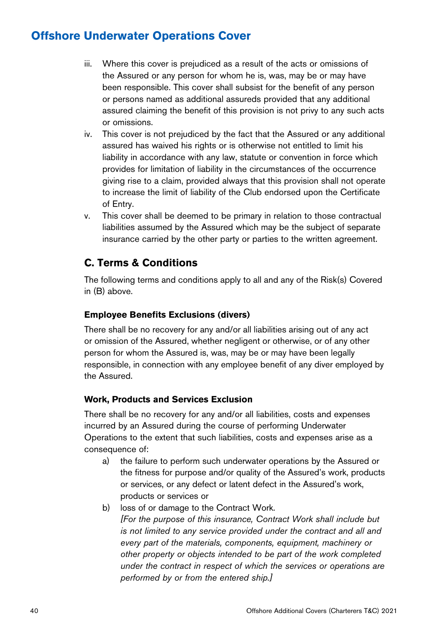- iii. Where this cover is prejudiced as a result of the acts or omissions of the Assured or any person for whom he is, was, may be or may have been responsible. This cover shall subsist for the benefit of any person or persons named as additional assureds provided that any additional assured claiming the benefit of this provision is not privy to any such acts or omissions.
- iv. This cover is not prejudiced by the fact that the Assured or any additional assured has waived his rights or is otherwise not entitled to limit his liability in accordance with any law, statute or convention in force which provides for limitation of liability in the circumstances of the occurrence giving rise to a claim, provided always that this provision shall not operate to increase the limit of liability of the Club endorsed upon the Certificate of Entry.
- v. This cover shall be deemed to be primary in relation to those contractual liabilities assumed by the Assured which may be the subject of separate insurance carried by the other party or parties to the written agreement.

### **C. Terms & Conditions**

The following terms and conditions apply to all and any of the Risk(s) Covered in (B) above.

#### **Employee Benefits Exclusions (divers)**

There shall be no recovery for any and/or all liabilities arising out of any act or omission of the Assured, whether negligent or otherwise, or of any other person for whom the Assured is, was, may be or may have been legally responsible, in connection with any employee benefit of any diver employed by the Assured.

#### **Work, Products and Services Exclusion**

There shall be no recovery for any and/or all liabilities, costs and expenses incurred by an Assured during the course of performing Underwater Operations to the extent that such liabilities, costs and expenses arise as a consequence of:

- a) the failure to perform such underwater operations by the Assured or the fitness for purpose and/or quality of the Assured's work, products or services, or any defect or latent defect in the Assured's work, products or services or
- b) loss of or damage to the Contract Work. *[For the purpose of this insurance, Contract Work shall include but is not limited to any service provided under the contract and all and every part of the materials, components, equipment, machinery or other property or objects intended to be part of the work completed under the contract in respect of which the services or operations are performed by or from the entered ship.]*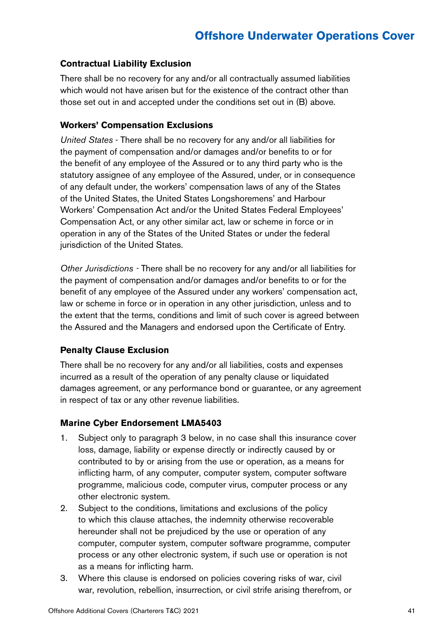#### **Contractual Liability Exclusion**

There shall be no recovery for any and/or all contractually assumed liabilities which would not have arisen but for the existence of the contract other than those set out in and accepted under the conditions set out in (B) above.

#### **Workers' Compensation Exclusions**

*United States* - There shall be no recovery for any and/or all liabilities for the payment of compensation and/or damages and/or benefits to or for the benefit of any employee of the Assured or to any third party who is the statutory assignee of any employee of the Assured, under, or in consequence of any default under, the workers' compensation laws of any of the States of the United States, the United States Longshoremens' and Harbour Workers' Compensation Act and/or the United States Federal Employees' Compensation Act, or any other similar act, law or scheme in force or in operation in any of the States of the United States or under the federal jurisdiction of the United States.

*Other Jurisdictions -* There shall be no recovery for any and/or all liabilities for the payment of compensation and/or damages and/or benefits to or for the benefit of any employee of the Assured under any workers' compensation act, law or scheme in force or in operation in any other jurisdiction, unless and to the extent that the terms, conditions and limit of such cover is agreed between the Assured and the Managers and endorsed upon the Certificate of Entry.

#### **Penalty Clause Exclusion**

There shall be no recovery for any and/or all liabilities, costs and expenses incurred as a result of the operation of any penalty clause or liquidated damages agreement, or any performance bond or guarantee, or any agreement in respect of tax or any other revenue liabilities.

#### **Marine Cyber Endorsement LMA5403**

- 1. Subject only to paragraph 3 below, in no case shall this insurance cover loss, damage, liability or expense directly or indirectly caused by or contributed to by or arising from the use or operation, as a means for inflicting harm, of any computer, computer system, computer software programme, malicious code, computer virus, computer process or any other electronic system.
- 2. Subject to the conditions, limitations and exclusions of the policy to which this clause attaches, the indemnity otherwise recoverable hereunder shall not be prejudiced by the use or operation of any computer, computer system, computer software programme, computer process or any other electronic system, if such use or operation is not as a means for inflicting harm.
- 3. Where this clause is endorsed on policies covering risks of war, civil war, revolution, rebellion, insurrection, or civil strife arising therefrom, or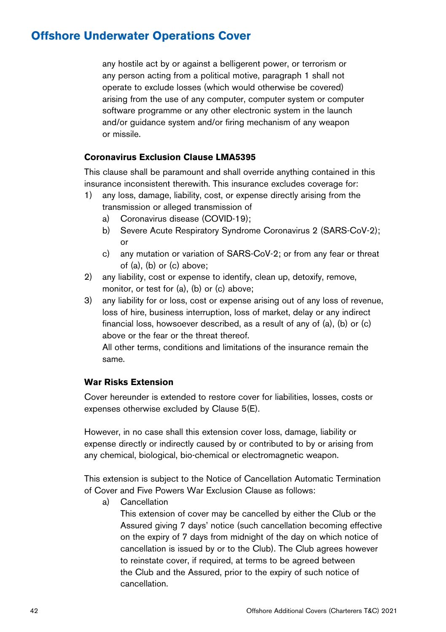any hostile act by or against a belligerent power, or terrorism or any person acting from a political motive, paragraph 1 shall not operate to exclude losses (which would otherwise be covered) arising from the use of any computer, computer system or computer software programme or any other electronic system in the launch and/or guidance system and/or firing mechanism of any weapon or missile.

#### **Coronavirus Exclusion Clause LMA5395**

This clause shall be paramount and shall override anything contained in this insurance inconsistent therewith. This insurance excludes coverage for:

- 1) any loss, damage, liability, cost, or expense directly arising from the transmission or alleged transmission of
	- a) Coronavirus disease (COVID-19);
	- b) Severe Acute Respiratory Syndrome Coronavirus 2 (SARS-CoV-2); or
	- c) any mutation or variation of SARS-CoV-2; or from any fear or threat of (a), (b) or (c) above;
- 2) any liability, cost or expense to identify, clean up, detoxify, remove, monitor, or test for (a), (b) or (c) above;
- 3) any liability for or loss, cost or expense arising out of any loss of revenue, loss of hire, business interruption, loss of market, delay or any indirect financial loss, howsoever described, as a result of any of (a), (b) or (c) above or the fear or the threat thereof.

All other terms, conditions and limitations of the insurance remain the same.

#### **War Risks Extension**

Cover hereunder is extended to restore cover for liabilities, losses, costs or expenses otherwise excluded by Clause 5(E).

However, in no case shall this extension cover loss, damage, liability or expense directly or indirectly caused by or contributed to by or arising from any chemical, biological, bio-chemical or electromagnetic weapon.

This extension is subject to the Notice of Cancellation Automatic Termination of Cover and Five Powers War Exclusion Clause as follows:

a) Cancellation

This extension of cover may be cancelled by either the Club or the Assured giving 7 days' notice (such cancellation becoming effective on the expiry of 7 days from midnight of the day on which notice of cancellation is issued by or to the Club). The Club agrees however to reinstate cover, if required, at terms to be agreed between the Club and the Assured, prior to the expiry of such notice of cancellation.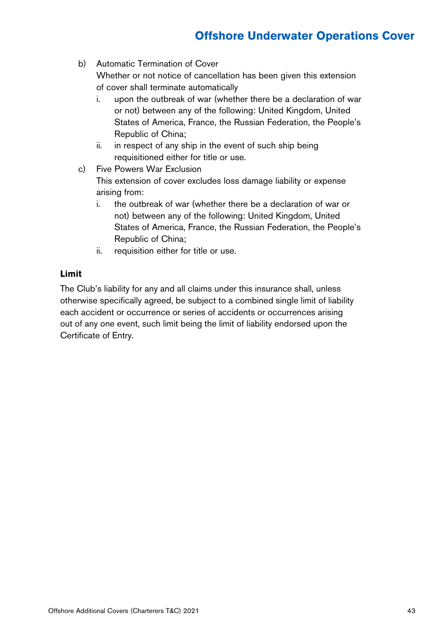b) Automatic Termination of Cover

Whether or not notice of cancellation has been given this extension of cover shall terminate automatically

- i. upon the outbreak of war (whether there be a declaration of war or not) between any of the following: United Kingdom, United States of America, France, the Russian Federation, the People's Republic of China;
- ii. in respect of any ship in the event of such ship being requisitioned either for title or use.
- c) Five Powers War Exclusion This extension of cover excludes loss damage liability or expense arising from:
	- i. the outbreak of war (whether there be a declaration of war or not) between any of the following: United Kingdom, United States of America, France, the Russian Federation, the People's Republic of China;
	- ii. requisition either for title or use.

#### **Limit**

The Club's liability for any and all claims under this insurance shall, unless otherwise specifically agreed, be subject to a combined single limit of liability each accident or occurrence or series of accidents or occurrences arising out of any one event, such limit being the limit of liability endorsed upon the Certificate of Entry.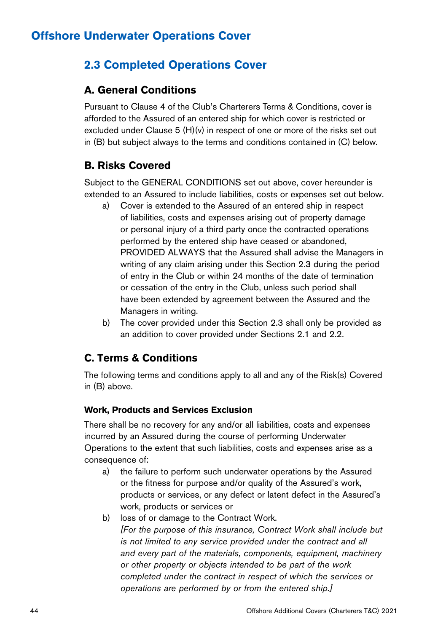### **2.3 Completed Operations Cover**

#### **A. General Conditions**

Pursuant to Clause 4 of the Club's Charterers Terms & Conditions, cover is afforded to the Assured of an entered ship for which cover is restricted or excluded under Clause 5 (H)(v) in respect of one or more of the risks set out in (B) but subject always to the terms and conditions contained in (C) below.

### **B. Risks Covered**

Subject to the GENERAL CONDITIONS set out above, cover hereunder is extended to an Assured to include liabilities, costs or expenses set out below.

- a) Cover is extended to the Assured of an entered ship in respect of liabilities, costs and expenses arising out of property damage or personal injury of a third party once the contracted operations performed by the entered ship have ceased or abandoned, PROVIDED ALWAYS that the Assured shall advise the Managers in writing of any claim arising under this Section 2.3 during the period of entry in the Club or within 24 months of the date of termination or cessation of the entry in the Club, unless such period shall have been extended by agreement between the Assured and the Managers in writing.
- b) The cover provided under this Section 2.3 shall only be provided as an addition to cover provided under Sections 2.1 and 2.2.

### **C. Terms & Conditions**

The following terms and conditions apply to all and any of the Risk(s) Covered in (B) above.

#### **Work, Products and Services Exclusion**

There shall be no recovery for any and/or all liabilities, costs and expenses incurred by an Assured during the course of performing Underwater Operations to the extent that such liabilities, costs and expenses arise as a consequence of:

- a) the failure to perform such underwater operations by the Assured or the fitness for purpose and/or quality of the Assured's work, products or services, or any defect or latent defect in the Assured's work, products or services or
- b) loss of or damage to the Contract Work. *[For the purpose of this insurance, Contract Work shall include but is not limited to any service provided under the contract and all and every part of the materials, components, equipment, machinery or other property or objects intended to be part of the work completed under the contract in respect of which the services or operations are performed by or from the entered ship.]*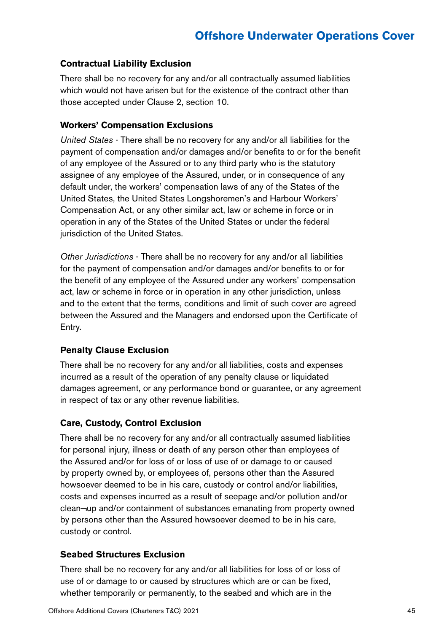#### **Contractual Liability Exclusion**

There shall be no recovery for any and/or all contractually assumed liabilities which would not have arisen but for the existence of the contract other than those accepted under Clause 2, section 10.

#### **Workers' Compensation Exclusions**

*United States* - There shall be no recovery for any and/or all liabilities for the payment of compensation and/or damages and/or benefits to or for the benefit of any employee of the Assured or to any third party who is the statutory assignee of any employee of the Assured, under, or in consequence of any default under, the workers' compensation laws of any of the States of the United States, the United States Longshoremen's and Harbour Workers' Compensation Act, or any other similar act, law or scheme in force or in operation in any of the States of the United States or under the federal jurisdiction of the United States.

*Other Jurisdictions* - There shall be no recovery for any and/or all liabilities for the payment of compensation and/or damages and/or benefits to or for the benefit of any employee of the Assured under any workers' compensation act, law or scheme in force or in operation in any other jurisdiction, unless and to the extent that the terms, conditions and limit of such cover are agreed between the Assured and the Managers and endorsed upon the Certificate of Entry.

#### **Penalty Clause Exclusion**

There shall be no recovery for any and/or all liabilities, costs and expenses incurred as a result of the operation of any penalty clause or liquidated damages agreement, or any performance bond or guarantee, or any agreement in respect of tax or any other revenue liabilities.

#### **Care, Custody, Control Exclusion**

There shall be no recovery for any and/or all contractually assumed liabilities for personal injury, illness or death of any person other than employees of the Assured and/or for loss of or loss of use of or damage to or caused by property owned by, or employees of, persons other than the Assured howsoever deemed to be in his care, custody or control and/or liabilities, costs and expenses incurred as a result of seepage and/or pollution and/or clean¬up and/or containment of substances emanating from property owned by persons other than the Assured howsoever deemed to be in his care, custody or control.

#### **Seabed Structures Exclusion**

There shall be no recovery for any and/or all liabilities for loss of or loss of use of or damage to or caused by structures which are or can be fixed, whether temporarily or permanently, to the seabed and which are in the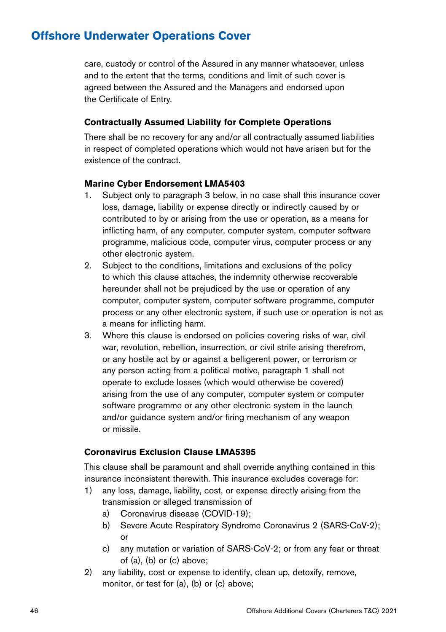care, custody or control of the Assured in any manner whatsoever, unless and to the extent that the terms, conditions and limit of such cover is agreed between the Assured and the Managers and endorsed upon the Certificate of Entry.

#### **Contractually Assumed Liability for Complete Operations**

There shall be no recovery for any and/or all contractually assumed liabilities in respect of completed operations which would not have arisen but for the existence of the contract.

#### **Marine Cyber Endorsement LMA5403**

- 1. Subject only to paragraph 3 below, in no case shall this insurance cover loss, damage, liability or expense directly or indirectly caused by or contributed to by or arising from the use or operation, as a means for inflicting harm, of any computer, computer system, computer software programme, malicious code, computer virus, computer process or any other electronic system.
- 2. Subject to the conditions, limitations and exclusions of the policy to which this clause attaches, the indemnity otherwise recoverable hereunder shall not be prejudiced by the use or operation of any computer, computer system, computer software programme, computer process or any other electronic system, if such use or operation is not as a means for inflicting harm.
- 3. Where this clause is endorsed on policies covering risks of war, civil war, revolution, rebellion, insurrection, or civil strife arising therefrom, or any hostile act by or against a belligerent power, or terrorism or any person acting from a political motive, paragraph 1 shall not operate to exclude losses (which would otherwise be covered) arising from the use of any computer, computer system or computer software programme or any other electronic system in the launch and/or guidance system and/or firing mechanism of any weapon or missile.

#### **Coronavirus Exclusion Clause LMA5395**

This clause shall be paramount and shall override anything contained in this insurance inconsistent therewith. This insurance excludes coverage for:

- 1) any loss, damage, liability, cost, or expense directly arising from the transmission or alleged transmission of
	- a) Coronavirus disease (COVID-19);
	- b) Severe Acute Respiratory Syndrome Coronavirus 2 (SARS-CoV-2); or
	- c) any mutation or variation of SARS-CoV-2; or from any fear or threat of (a), (b) or (c) above;
- 2) any liability, cost or expense to identify, clean up, detoxify, remove, monitor, or test for (a), (b) or (c) above;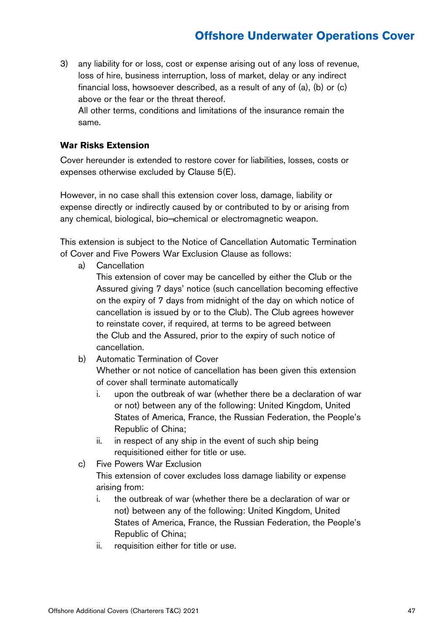3) any liability for or loss, cost or expense arising out of any loss of revenue, loss of hire, business interruption, loss of market, delay or any indirect financial loss, howsoever described, as a result of any of (a), (b) or (c) above or the fear or the threat thereof. All other terms, conditions and limitations of the insurance remain the

#### **War Risks Extension**

same.

Cover hereunder is extended to restore cover for liabilities, losses, costs or expenses otherwise excluded by Clause 5(E).

However, in no case shall this extension cover loss, damage, liability or expense directly or indirectly caused by or contributed to by or arising from any chemical, biological, bio¬chemical or electromagnetic weapon.

This extension is subject to the Notice of Cancellation Automatic Termination of Cover and Five Powers War Exclusion Clause as follows:

a) Cancellation

This extension of cover may be cancelled by either the Club or the Assured giving 7 days' notice (such cancellation becoming effective on the expiry of 7 days from midnight of the day on which notice of cancellation is issued by or to the Club). The Club agrees however to reinstate cover, if required, at terms to be agreed between the Club and the Assured, prior to the expiry of such notice of cancellation.

b) Automatic Termination of Cover

Whether or not notice of cancellation has been given this extension of cover shall terminate automatically

- i. upon the outbreak of war (whether there be a declaration of war or not) between any of the following: United Kingdom, United States of America, France, the Russian Federation, the People's Republic of China;
- ii. in respect of any ship in the event of such ship being requisitioned either for title or use.
- c) Five Powers War Exclusion This extension of cover excludes loss damage liability or expense arising from:
	- i. the outbreak of war (whether there be a declaration of war or not) between any of the following: United Kingdom, United States of America, France, the Russian Federation, the People's Republic of China;
	- ii. requisition either for title or use.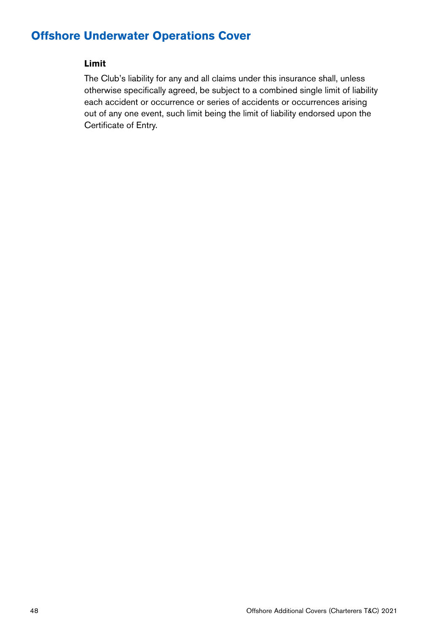#### **Limit**

The Club's liability for any and all claims under this insurance shall, unless otherwise specifically agreed, be subject to a combined single limit of liability each accident or occurrence or series of accidents or occurrences arising out of any one event, such limit being the limit of liability endorsed upon the Certificate of Entry.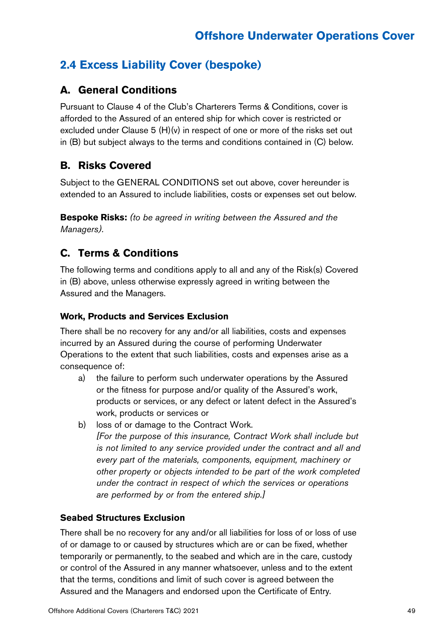### **2.4 Excess Liability Cover (bespoke)**

### **A. General Conditions**

Pursuant to Clause 4 of the Club's Charterers Terms & Conditions, cover is afforded to the Assured of an entered ship for which cover is restricted or excluded under Clause 5 (H)(v) in respect of one or more of the risks set out in (B) but subject always to the terms and conditions contained in (C) below.

### **B. Risks Covered**

Subject to the GENERAL CONDITIONS set out above, cover hereunder is extended to an Assured to include liabilities, costs or expenses set out below.

**Bespoke Risks:** *(to be agreed in writing between the Assured and the Managers).*

### **C. Terms & Conditions**

The following terms and conditions apply to all and any of the Risk(s) Covered in (B) above, unless otherwise expressly agreed in writing between the Assured and the Managers.

#### **Work, Products and Services Exclusion**

There shall be no recovery for any and/or all liabilities, costs and expenses incurred by an Assured during the course of performing Underwater Operations to the extent that such liabilities, costs and expenses arise as a consequence of:

- a) the failure to perform such underwater operations by the Assured or the fitness for purpose and/or quality of the Assured's work, products or services, or any defect or latent defect in the Assured's work, products or services or
- b) loss of or damage to the Contract Work. *[For the purpose of this insurance, Contract Work shall include but is not limited to any service provided under the contract and all and every part of the materials, components, equipment, machinery or other property or objects intended to be part of the work completed under the contract in respect of which the services or operations are performed by or from the entered ship.]*

#### **Seabed Structures Exclusion**

There shall be no recovery for any and/or all liabilities for loss of or loss of use of or damage to or caused by structures which are or can be fixed, whether temporarily or permanently, to the seabed and which are in the care, custody or control of the Assured in any manner whatsoever, unless and to the extent that the terms, conditions and limit of such cover is agreed between the Assured and the Managers and endorsed upon the Certificate of Entry.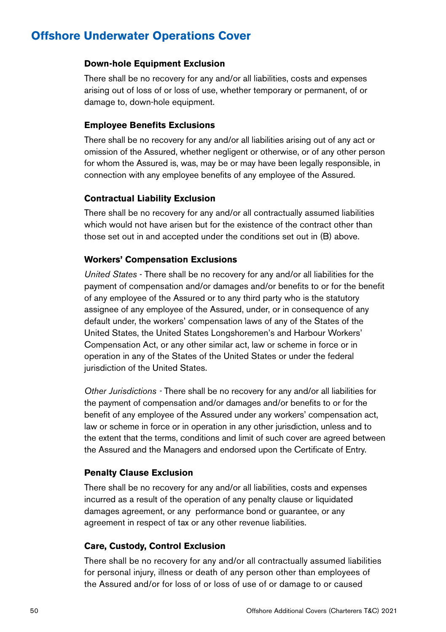#### **Down-hole Equipment Exclusion**

There shall be no recovery for any and/or all liabilities, costs and expenses arising out of loss of or loss of use, whether temporary or permanent, of or damage to, down-hole equipment.

#### **Employee Benefits Exclusions**

There shall be no recovery for any and/or all liabilities arising out of any act or omission of the Assured, whether negligent or otherwise, or of any other person for whom the Assured is, was, may be or may have been legally responsible, in connection with any employee benefits of any employee of the Assured.

#### **Contractual Liability Exclusion**

There shall be no recovery for any and/or all contractually assumed liabilities which would not have arisen but for the existence of the contract other than those set out in and accepted under the conditions set out in (B) above.

#### **Workers' Compensation Exclusions**

*United States* - There shall be no recovery for any and/or all liabilities for the payment of compensation and/or damages and/or benefits to or for the benefit of any employee of the Assured or to any third party who is the statutory assignee of any employee of the Assured, under, or in consequence of any default under, the workers' compensation laws of any of the States of the United States, the United States Longshoremen's and Harbour Workers' Compensation Act, or any other similar act, law or scheme in force or in operation in any of the States of the United States or under the federal jurisdiction of the United States.

*Other Jurisdictions -* There shall be no recovery for any and/or all liabilities for the payment of compensation and/or damages and/or benefits to or for the benefit of any employee of the Assured under any workers' compensation act, law or scheme in force or in operation in any other jurisdiction, unless and to the extent that the terms, conditions and limit of such cover are agreed between the Assured and the Managers and endorsed upon the Certificate of Entry.

#### **Penalty Clause Exclusion**

There shall be no recovery for any and/or all liabilities, costs and expenses incurred as a result of the operation of any penalty clause or liquidated damages agreement, or any performance bond or guarantee, or any agreement in respect of tax or any other revenue liabilities.

#### **Care, Custody, Control Exclusion**

There shall be no recovery for any and/or all contractually assumed liabilities for personal injury, illness or death of any person other than employees of the Assured and/or for loss of or loss of use of or damage to or caused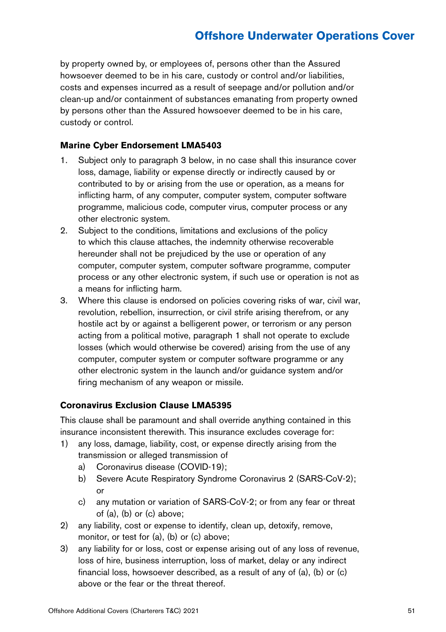by property owned by, or employees of, persons other than the Assured howsoever deemed to be in his care, custody or control and/or liabilities, costs and expenses incurred as a result of seepage and/or pollution and/or clean-up and/or containment of substances emanating from property owned by persons other than the Assured howsoever deemed to be in his care, custody or control.

#### **Marine Cyber Endorsement LMA5403**

- 1. Subject only to paragraph 3 below, in no case shall this insurance cover loss, damage, liability or expense directly or indirectly caused by or contributed to by or arising from the use or operation, as a means for inflicting harm, of any computer, computer system, computer software programme, malicious code, computer virus, computer process or any other electronic system.
- 2. Subject to the conditions, limitations and exclusions of the policy to which this clause attaches, the indemnity otherwise recoverable hereunder shall not be prejudiced by the use or operation of any computer, computer system, computer software programme, computer process or any other electronic system, if such use or operation is not as a means for inflicting harm.
- 3. Where this clause is endorsed on policies covering risks of war, civil war, revolution, rebellion, insurrection, or civil strife arising therefrom, or any hostile act by or against a belligerent power, or terrorism or any person acting from a political motive, paragraph 1 shall not operate to exclude losses (which would otherwise be covered) arising from the use of any computer, computer system or computer software programme or any other electronic system in the launch and/or guidance system and/or firing mechanism of any weapon or missile.

#### **Coronavirus Exclusion Clause LMA5395**

This clause shall be paramount and shall override anything contained in this insurance inconsistent therewith. This insurance excludes coverage for:

- 1) any loss, damage, liability, cost, or expense directly arising from the transmission or alleged transmission of
	- a) Coronavirus disease (COVID-19);
	- b) Severe Acute Respiratory Syndrome Coronavirus 2 (SARS-CoV-2); or
	- c) any mutation or variation of SARS-CoV-2; or from any fear or threat of (a), (b) or (c) above;
- 2) any liability, cost or expense to identify, clean up, detoxify, remove, monitor, or test for (a), (b) or (c) above;
- 3) any liability for or loss, cost or expense arising out of any loss of revenue, loss of hire, business interruption, loss of market, delay or any indirect financial loss, howsoever described, as a result of any of (a), (b) or (c) above or the fear or the threat thereof.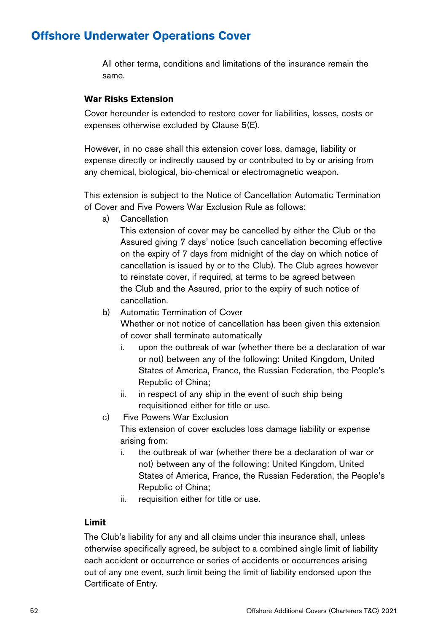All other terms, conditions and limitations of the insurance remain the same.

#### **War Risks Extension**

Cover hereunder is extended to restore cover for liabilities, losses, costs or expenses otherwise excluded by Clause 5(E).

However, in no case shall this extension cover loss, damage, liability or expense directly or indirectly caused by or contributed to by or arising from any chemical, biological, bio-chemical or electromagnetic weapon.

This extension is subject to the Notice of Cancellation Automatic Termination of Cover and Five Powers War Exclusion Rule as follows:

a) Cancellation

This extension of cover may be cancelled by either the Club or the Assured giving 7 days' notice (such cancellation becoming effective on the expiry of 7 days from midnight of the day on which notice of cancellation is issued by or to the Club). The Club agrees however to reinstate cover, if required, at terms to be agreed between the Club and the Assured, prior to the expiry of such notice of cancellation.

b) Automatic Termination of Cover

Whether or not notice of cancellation has been given this extension of cover shall terminate automatically

- i. upon the outbreak of war (whether there be a declaration of war or not) between any of the following: United Kingdom, United States of America, France, the Russian Federation, the People's Republic of China;
- ii. in respect of any ship in the event of such ship being requisitioned either for title or use.
- c) Five Powers War Exclusion

This extension of cover excludes loss damage liability or expense arising from:

- i. the outbreak of war (whether there be a declaration of war or not) between any of the following: United Kingdom, United States of America, France, the Russian Federation, the People's Republic of China;
- ii. requisition either for title or use.

#### **Limit**

The Club's liability for any and all claims under this insurance shall, unless otherwise specifically agreed, be subject to a combined single limit of liability each accident or occurrence or series of accidents or occurrences arising out of any one event, such limit being the limit of liability endorsed upon the Certificate of Entry.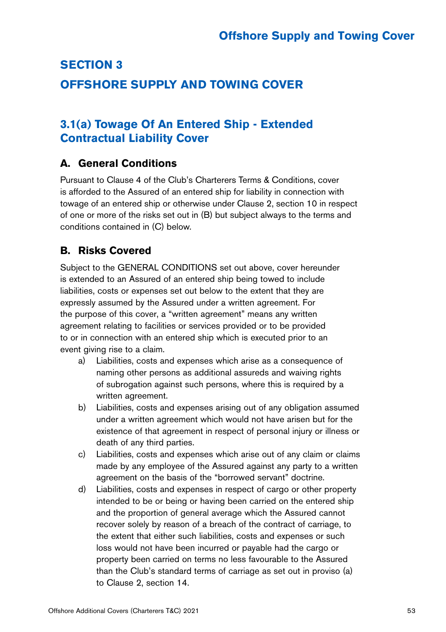### **SECTION 3 OFFSHORE SUPPLY AND TOWING COVER**

### **3.1(a) Towage Of An Entered Ship - Extended Contractual Liability Cover**

### **A. General Conditions**

Pursuant to Clause 4 of the Club's Charterers Terms & Conditions, cover is afforded to the Assured of an entered ship for liability in connection with towage of an entered ship or otherwise under Clause 2, section 10 in respect of one or more of the risks set out in (B) but subject always to the terms and conditions contained in (C) below.

### **B. Risks Covered**

Subject to the GENERAL CONDITIONS set out above, cover hereunder is extended to an Assured of an entered ship being towed to include liabilities, costs or expenses set out below to the extent that they are expressly assumed by the Assured under a written agreement. For the purpose of this cover, a "written agreement" means any written agreement relating to facilities or services provided or to be provided to or in connection with an entered ship which is executed prior to an event giving rise to a claim.

- a) Liabilities, costs and expenses which arise as a consequence of naming other persons as additional assureds and waiving rights of subrogation against such persons, where this is required by a written agreement.
- b) Liabilities, costs and expenses arising out of any obligation assumed under a written agreement which would not have arisen but for the existence of that agreement in respect of personal injury or illness or death of any third parties.
- c) Liabilities, costs and expenses which arise out of any claim or claims made by any employee of the Assured against any party to a written agreement on the basis of the "borrowed servant" doctrine.
- d) Liabilities, costs and expenses in respect of cargo or other property intended to be or being or having been carried on the entered ship and the proportion of general average which the Assured cannot recover solely by reason of a breach of the contract of carriage, to the extent that either such liabilities, costs and expenses or such loss would not have been incurred or payable had the cargo or property been carried on terms no less favourable to the Assured than the Club's standard terms of carriage as set out in proviso (a) to Clause 2, section 14.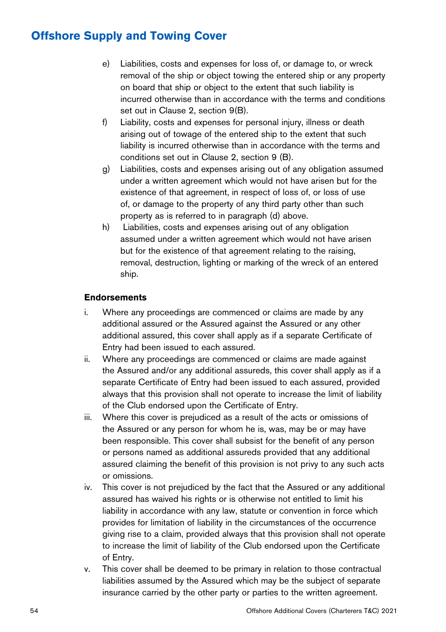- e) Liabilities, costs and expenses for loss of, or damage to, or wreck removal of the ship or object towing the entered ship or any property on board that ship or object to the extent that such liability is incurred otherwise than in accordance with the terms and conditions set out in Clause 2, section 9(B).
- f) Liability, costs and expenses for personal injury, illness or death arising out of towage of the entered ship to the extent that such liability is incurred otherwise than in accordance with the terms and conditions set out in Clause 2, section 9 (B).
- g) Liabilities, costs and expenses arising out of any obligation assumed under a written agreement which would not have arisen but for the existence of that agreement, in respect of loss of, or loss of use of, or damage to the property of any third party other than such property as is referred to in paragraph (d) above.
- h) Liabilities, costs and expenses arising out of any obligation assumed under a written agreement which would not have arisen but for the existence of that agreement relating to the raising, removal, destruction, lighting or marking of the wreck of an entered ship.

#### **Endorsements**

- i. Where any proceedings are commenced or claims are made by any additional assured or the Assured against the Assured or any other additional assured, this cover shall apply as if a separate Certificate of Entry had been issued to each assured.
- ii. Where any proceedings are commenced or claims are made against the Assured and/or any additional assureds, this cover shall apply as if a separate Certificate of Entry had been issued to each assured, provided always that this provision shall not operate to increase the limit of liability of the Club endorsed upon the Certificate of Entry.
- iii. Where this cover is prejudiced as a result of the acts or omissions of the Assured or any person for whom he is, was, may be or may have been responsible. This cover shall subsist for the benefit of any person or persons named as additional assureds provided that any additional assured claiming the benefit of this provision is not privy to any such acts or omissions.
- iv. This cover is not prejudiced by the fact that the Assured or any additional assured has waived his rights or is otherwise not entitled to limit his liability in accordance with any law, statute or convention in force which provides for limitation of liability in the circumstances of the occurrence giving rise to a claim, provided always that this provision shall not operate to increase the limit of liability of the Club endorsed upon the Certificate of Entry.
- v. This cover shall be deemed to be primary in relation to those contractual liabilities assumed by the Assured which may be the subject of separate insurance carried by the other party or parties to the written agreement.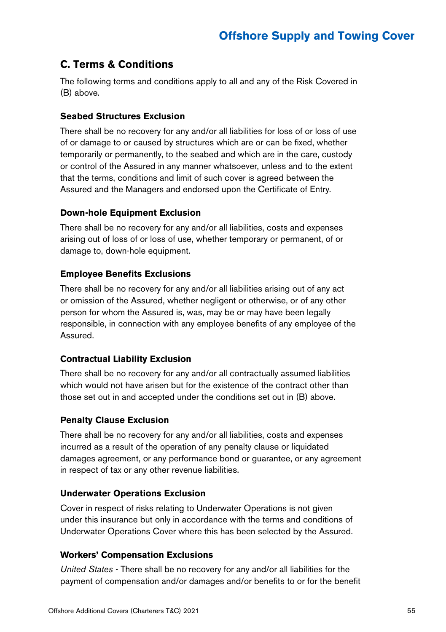### **C. Terms & Conditions**

The following terms and conditions apply to all and any of the Risk Covered in (B) above.

#### **Seabed Structures Exclusion**

There shall be no recovery for any and/or all liabilities for loss of or loss of use of or damage to or caused by structures which are or can be fixed, whether temporarily or permanently, to the seabed and which are in the care, custody or control of the Assured in any manner whatsoever, unless and to the extent that the terms, conditions and limit of such cover is agreed between the Assured and the Managers and endorsed upon the Certificate of Entry.

#### **Down-hole Equipment Exclusion**

There shall be no recovery for any and/or all liabilities, costs and expenses arising out of loss of or loss of use, whether temporary or permanent, of or damage to, down-hole equipment.

#### **Employee Benefits Exclusions**

There shall be no recovery for any and/or all liabilities arising out of any act or omission of the Assured, whether negligent or otherwise, or of any other person for whom the Assured is, was, may be or may have been legally responsible, in connection with any employee benefits of any employee of the Assured.

#### **Contractual Liability Exclusion**

There shall be no recovery for any and/or all contractually assumed liabilities which would not have arisen but for the existence of the contract other than those set out in and accepted under the conditions set out in (B) above.

#### **Penalty Clause Exclusion**

There shall be no recovery for any and/or all liabilities, costs and expenses incurred as a result of the operation of any penalty clause or liquidated damages agreement, or any performance bond or guarantee, or any agreement in respect of tax or any other revenue liabilities.

#### **Underwater Operations Exclusion**

Cover in respect of risks relating to Underwater Operations is not given under this insurance but only in accordance with the terms and conditions of Underwater Operations Cover where this has been selected by the Assured.

#### **Workers' Compensation Exclusions**

*United States* - There shall be no recovery for any and/or all liabilities for the payment of compensation and/or damages and/or benefits to or for the benefit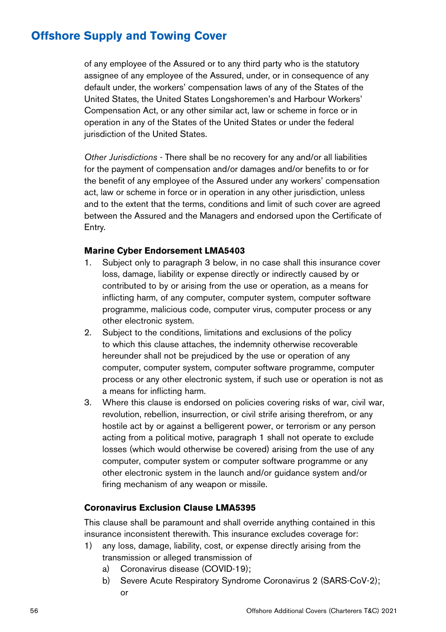of any employee of the Assured or to any third party who is the statutory assignee of any employee of the Assured, under, or in consequence of any default under, the workers' compensation laws of any of the States of the United States, the United States Longshoremen's and Harbour Workers' Compensation Act, or any other similar act, law or scheme in force or in operation in any of the States of the United States or under the federal jurisdiction of the United States.

*Other Jurisdictions* - There shall be no recovery for any and/or all liabilities for the payment of compensation and/or damages and/or benefits to or for the benefit of any employee of the Assured under any workers' compensation act, law or scheme in force or in operation in any other jurisdiction, unless and to the extent that the terms, conditions and limit of such cover are agreed between the Assured and the Managers and endorsed upon the Certificate of Entry.

#### **Marine Cyber Endorsement LMA5403**

- 1. Subject only to paragraph 3 below, in no case shall this insurance cover loss, damage, liability or expense directly or indirectly caused by or contributed to by or arising from the use or operation, as a means for inflicting harm, of any computer, computer system, computer software programme, malicious code, computer virus, computer process or any other electronic system.
- 2. Subject to the conditions, limitations and exclusions of the policy to which this clause attaches, the indemnity otherwise recoverable hereunder shall not be prejudiced by the use or operation of any computer, computer system, computer software programme, computer process or any other electronic system, if such use or operation is not as a means for inflicting harm.
- 3. Where this clause is endorsed on policies covering risks of war, civil war, revolution, rebellion, insurrection, or civil strife arising therefrom, or any hostile act by or against a belligerent power, or terrorism or any person acting from a political motive, paragraph 1 shall not operate to exclude losses (which would otherwise be covered) arising from the use of any computer, computer system or computer software programme or any other electronic system in the launch and/or guidance system and/or firing mechanism of any weapon or missile.

#### **Coronavirus Exclusion Clause LMA5395**

This clause shall be paramount and shall override anything contained in this insurance inconsistent therewith. This insurance excludes coverage for:

- 1) any loss, damage, liability, cost, or expense directly arising from the transmission or alleged transmission of
	- a) Coronavirus disease (COVID-19);
	- b) Severe Acute Respiratory Syndrome Coronavirus 2 (SARS-CoV-2); or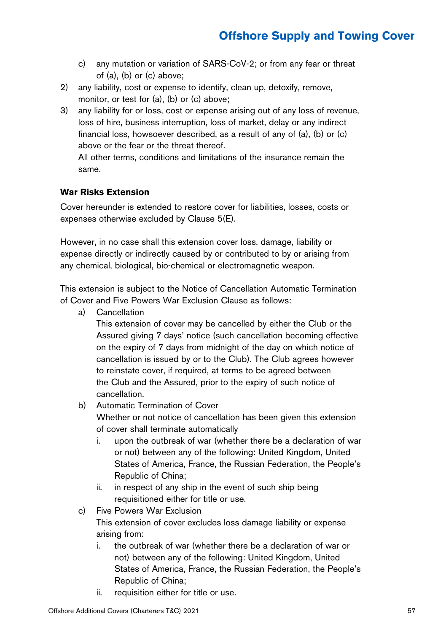- c) any mutation or variation of SARS-CoV-2; or from any fear or threat of (a), (b) or (c) above;
- 2) any liability, cost or expense to identify, clean up, detoxify, remove, monitor, or test for (a), (b) or (c) above;
- 3) any liability for or loss, cost or expense arising out of any loss of revenue, loss of hire, business interruption, loss of market, delay or any indirect financial loss, howsoever described, as a result of any of (a), (b) or (c) above or the fear or the threat thereof.

All other terms, conditions and limitations of the insurance remain the same.

#### **War Risks Extension**

Cover hereunder is extended to restore cover for liabilities, losses, costs or expenses otherwise excluded by Clause 5(E).

However, in no case shall this extension cover loss, damage, liability or expense directly or indirectly caused by or contributed to by or arising from any chemical, biological, bio-chemical or electromagnetic weapon.

This extension is subject to the Notice of Cancellation Automatic Termination of Cover and Five Powers War Exclusion Clause as follows:

a) Cancellation

This extension of cover may be cancelled by either the Club or the Assured giving 7 days' notice (such cancellation becoming effective on the expiry of 7 days from midnight of the day on which notice of cancellation is issued by or to the Club). The Club agrees however to reinstate cover, if required, at terms to be agreed between the Club and the Assured, prior to the expiry of such notice of cancellation.

#### b) Automatic Termination of Cover

Whether or not notice of cancellation has been given this extension of cover shall terminate automatically

- i. upon the outbreak of war (whether there be a declaration of war or not) between any of the following: United Kingdom, United States of America, France, the Russian Federation, the People's Republic of China;
- ii. in respect of any ship in the event of such ship being requisitioned either for title or use.
- c) Five Powers War Exclusion This extension of cover excludes loss damage liability or expense arising from:
	- i. the outbreak of war (whether there be a declaration of war or not) between any of the following: United Kingdom, United States of America, France, the Russian Federation, the People's Republic of China;
	- ii. requisition either for title or use.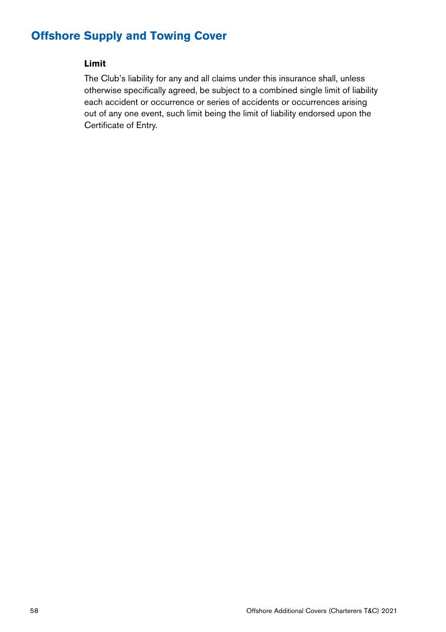#### **Limit**

The Club's liability for any and all claims under this insurance shall, unless otherwise specifically agreed, be subject to a combined single limit of liability each accident or occurrence or series of accidents or occurrences arising out of any one event, such limit being the limit of liability endorsed upon the Certificate of Entry.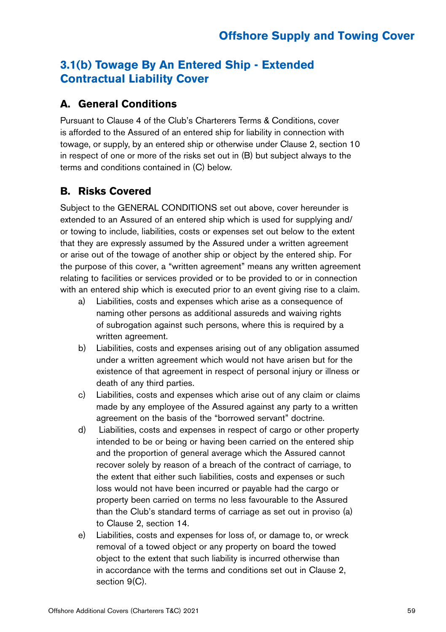### **3.1(b) Towage By An Entered Ship - Extended Contractual Liability Cover**

### **A. General Conditions**

Pursuant to Clause 4 of the Club's Charterers Terms & Conditions, cover is afforded to the Assured of an entered ship for liability in connection with towage, or supply, by an entered ship or otherwise under Clause 2, section 10 in respect of one or more of the risks set out in (B) but subject always to the terms and conditions contained in (C) below.

### **B. Risks Covered**

Subject to the GENERAL CONDITIONS set out above, cover hereunder is extended to an Assured of an entered ship which is used for supplying and/ or towing to include, liabilities, costs or expenses set out below to the extent that they are expressly assumed by the Assured under a written agreement or arise out of the towage of another ship or object by the entered ship. For the purpose of this cover, a "written agreement" means any written agreement relating to facilities or services provided or to be provided to or in connection with an entered ship which is executed prior to an event giving rise to a claim.

- a) Liabilities, costs and expenses which arise as a consequence of naming other persons as additional assureds and waiving rights of subrogation against such persons, where this is required by a written agreement.
- b) Liabilities, costs and expenses arising out of any obligation assumed under a written agreement which would not have arisen but for the existence of that agreement in respect of personal injury or illness or death of any third parties.
- c) Liabilities, costs and expenses which arise out of any claim or claims made by any employee of the Assured against any party to a written agreement on the basis of the "borrowed servant" doctrine.
- d) Liabilities, costs and expenses in respect of cargo or other property intended to be or being or having been carried on the entered ship and the proportion of general average which the Assured cannot recover solely by reason of a breach of the contract of carriage, to the extent that either such liabilities, costs and expenses or such loss would not have been incurred or payable had the cargo or property been carried on terms no less favourable to the Assured than the Club's standard terms of carriage as set out in proviso (a) to Clause 2, section 14.
- e) Liabilities, costs and expenses for loss of, or damage to, or wreck removal of a towed object or any property on board the towed object to the extent that such liability is incurred otherwise than in accordance with the terms and conditions set out in Clause 2, section 9(C).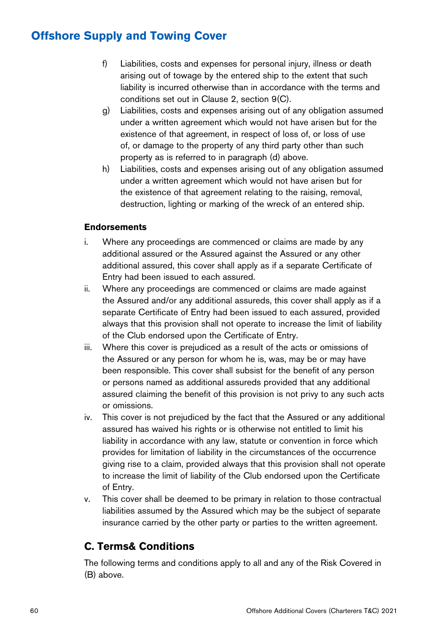- f) Liabilities, costs and expenses for personal injury, illness or death arising out of towage by the entered ship to the extent that such liability is incurred otherwise than in accordance with the terms and conditions set out in Clause 2, section 9(C).
- g) Liabilities, costs and expenses arising out of any obligation assumed under a written agreement which would not have arisen but for the existence of that agreement, in respect of loss of, or loss of use of, or damage to the property of any third party other than such property as is referred to in paragraph (d) above.
- h) Liabilities, costs and expenses arising out of any obligation assumed under a written agreement which would not have arisen but for the existence of that agreement relating to the raising, removal, destruction, lighting or marking of the wreck of an entered ship.

#### **Endorsements**

- i. Where any proceedings are commenced or claims are made by any additional assured or the Assured against the Assured or any other additional assured, this cover shall apply as if a separate Certificate of Entry had been issued to each assured.
- ii. Where any proceedings are commenced or claims are made against the Assured and/or any additional assureds, this cover shall apply as if a separate Certificate of Entry had been issued to each assured, provided always that this provision shall not operate to increase the limit of liability of the Club endorsed upon the Certificate of Entry.
- iii. Where this cover is prejudiced as a result of the acts or omissions of the Assured or any person for whom he is, was, may be or may have been responsible. This cover shall subsist for the benefit of any person or persons named as additional assureds provided that any additional assured claiming the benefit of this provision is not privy to any such acts or omissions.
- iv. This cover is not prejudiced by the fact that the Assured or any additional assured has waived his rights or is otherwise not entitled to limit his liability in accordance with any law, statute or convention in force which provides for limitation of liability in the circumstances of the occurrence giving rise to a claim, provided always that this provision shall not operate to increase the limit of liability of the Club endorsed upon the Certificate of Entry.
- v. This cover shall be deemed to be primary in relation to those contractual liabilities assumed by the Assured which may be the subject of separate insurance carried by the other party or parties to the written agreement.

### **C. Terms& Conditions**

The following terms and conditions apply to all and any of the Risk Covered in (B) above.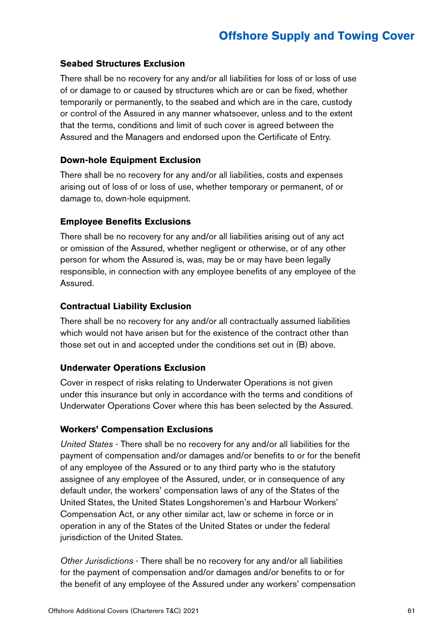#### **Seabed Structures Exclusion**

There shall be no recovery for any and/or all liabilities for loss of or loss of use of or damage to or caused by structures which are or can be fixed, whether temporarily or permanently, to the seabed and which are in the care, custody or control of the Assured in any manner whatsoever, unless and to the extent that the terms, conditions and limit of such cover is agreed between the Assured and the Managers and endorsed upon the Certificate of Entry.

#### **Down-hole Equipment Exclusion**

There shall be no recovery for any and/or all liabilities, costs and expenses arising out of loss of or loss of use, whether temporary or permanent, of or damage to, down-hole equipment.

#### **Employee Benefits Exclusions**

There shall be no recovery for any and/or all liabilities arising out of any act or omission of the Assured, whether negligent or otherwise, or of any other person for whom the Assured is, was, may be or may have been legally responsible, in connection with any employee benefits of any employee of the Assured.

#### **Contractual Liability Exclusion**

There shall be no recovery for any and/or all contractually assumed liabilities which would not have arisen but for the existence of the contract other than those set out in and accepted under the conditions set out in (B) above.

#### **Underwater Operations Exclusion**

Cover in respect of risks relating to Underwater Operations is not given under this insurance but only in accordance with the terms and conditions of Underwater Operations Cover where this has been selected by the Assured.

#### **Workers' Compensation Exclusions**

*United States* - There shall be no recovery for any and/or all liabilities for the payment of compensation and/or damages and/or benefits to or for the benefit of any employee of the Assured or to any third party who is the statutory assignee of any employee of the Assured, under, or in consequence of any default under, the workers' compensation laws of any of the States of the United States, the United States Longshoremen's and Harbour Workers' Compensation Act, or any other similar act, law or scheme in force or in operation in any of the States of the United States or under the federal jurisdiction of the United States.

*Other Jurisdictions* - There shall be no recovery for any and/or all liabilities for the payment of compensation and/or damages and/or benefits to or for the benefit of any employee of the Assured under any workers' compensation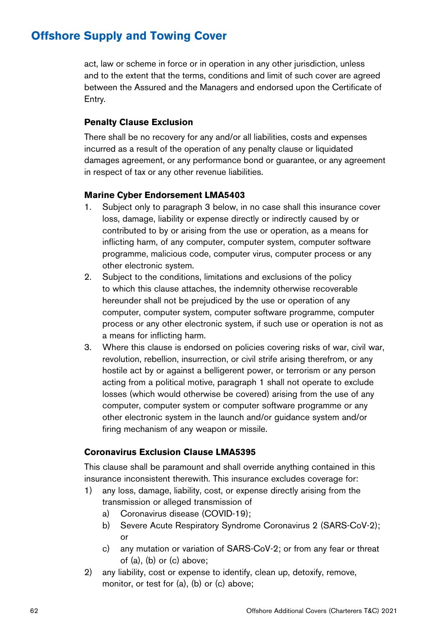act, law or scheme in force or in operation in any other jurisdiction, unless and to the extent that the terms, conditions and limit of such cover are agreed between the Assured and the Managers and endorsed upon the Certificate of Entry.

#### **Penalty Clause Exclusion**

There shall be no recovery for any and/or all liabilities, costs and expenses incurred as a result of the operation of any penalty clause or liquidated damages agreement, or any performance bond or guarantee, or any agreement in respect of tax or any other revenue liabilities.

#### **Marine Cyber Endorsement LMA5403**

- 1. Subject only to paragraph 3 below, in no case shall this insurance cover loss, damage, liability or expense directly or indirectly caused by or contributed to by or arising from the use or operation, as a means for inflicting harm, of any computer, computer system, computer software programme, malicious code, computer virus, computer process or any other electronic system.
- 2. Subject to the conditions, limitations and exclusions of the policy to which this clause attaches, the indemnity otherwise recoverable hereunder shall not be prejudiced by the use or operation of any computer, computer system, computer software programme, computer process or any other electronic system, if such use or operation is not as a means for inflicting harm.
- 3. Where this clause is endorsed on policies covering risks of war, civil war, revolution, rebellion, insurrection, or civil strife arising therefrom, or any hostile act by or against a belligerent power, or terrorism or any person acting from a political motive, paragraph 1 shall not operate to exclude losses (which would otherwise be covered) arising from the use of any computer, computer system or computer software programme or any other electronic system in the launch and/or guidance system and/or firing mechanism of any weapon or missile.

#### **Coronavirus Exclusion Clause LMA5395**

This clause shall be paramount and shall override anything contained in this insurance inconsistent therewith. This insurance excludes coverage for:

- 1) any loss, damage, liability, cost, or expense directly arising from the transmission or alleged transmission of
	- a) Coronavirus disease (COVID-19);
	- b) Severe Acute Respiratory Syndrome Coronavirus 2 (SARS-CoV-2); or
	- c) any mutation or variation of SARS-CoV-2; or from any fear or threat of (a), (b) or (c) above;
- 2) any liability, cost or expense to identify, clean up, detoxify, remove, monitor, or test for (a), (b) or (c) above;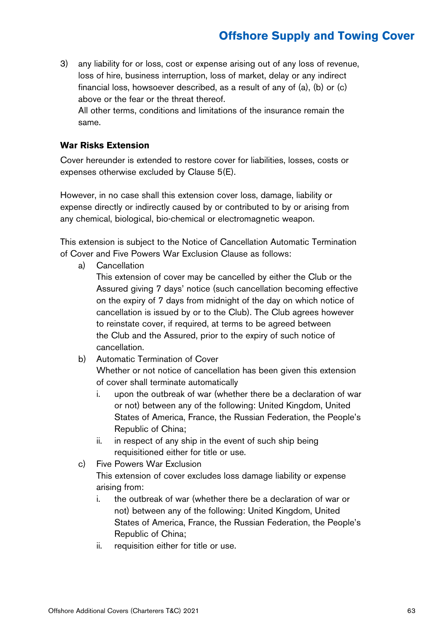3) any liability for or loss, cost or expense arising out of any loss of revenue, loss of hire, business interruption, loss of market, delay or any indirect financial loss, howsoever described, as a result of any of (a), (b) or (c) above or the fear or the threat thereof.

All other terms, conditions and limitations of the insurance remain the same.

#### **War Risks Extension**

Cover hereunder is extended to restore cover for liabilities, losses, costs or expenses otherwise excluded by Clause 5(E).

However, in no case shall this extension cover loss, damage, liability or expense directly or indirectly caused by or contributed to by or arising from any chemical, biological, bio-chemical or electromagnetic weapon.

This extension is subject to the Notice of Cancellation Automatic Termination of Cover and Five Powers War Exclusion Clause as follows:

a) Cancellation

This extension of cover may be cancelled by either the Club or the Assured giving 7 days' notice (such cancellation becoming effective on the expiry of 7 days from midnight of the day on which notice of cancellation is issued by or to the Club). The Club agrees however to reinstate cover, if required, at terms to be agreed between the Club and the Assured, prior to the expiry of such notice of cancellation.

b) Automatic Termination of Cover

Whether or not notice of cancellation has been given this extension of cover shall terminate automatically

- i. upon the outbreak of war (whether there be a declaration of war or not) between any of the following: United Kingdom, United States of America, France, the Russian Federation, the People's Republic of China;
- ii. in respect of any ship in the event of such ship being requisitioned either for title or use.
- c) Five Powers War Exclusion This extension of cover excludes loss damage liability or expense arising from:
	- i. the outbreak of war (whether there be a declaration of war or not) between any of the following: United Kingdom, United States of America, France, the Russian Federation, the People's Republic of China;
	- ii. requisition either for title or use.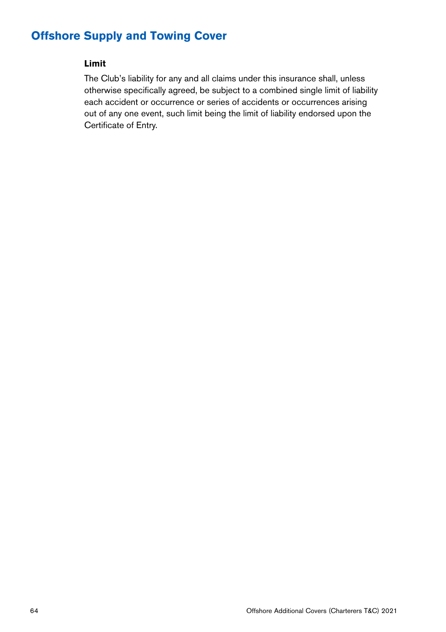#### **Limit**

The Club's liability for any and all claims under this insurance shall, unless otherwise specifically agreed, be subject to a combined single limit of liability each accident or occurrence or series of accidents or occurrences arising out of any one event, such limit being the limit of liability endorsed upon the Certificate of Entry.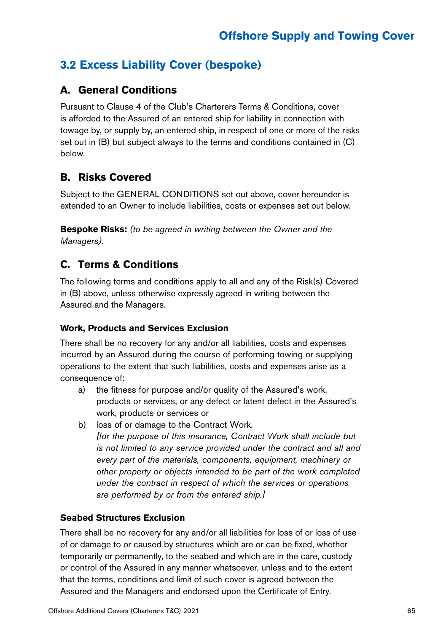### **3.2 Excess Liability Cover (bespoke)**

### **A. General Conditions**

Pursuant to Clause 4 of the Club's Charterers Terms & Conditions, cover is afforded to the Assured of an entered ship for liability in connection with towage by, or supply by, an entered ship, in respect of one or more of the risks set out in (B) but subject always to the terms and conditions contained in (C) below.

### **B. Risks Covered**

Subject to the GENERAL CONDITIONS set out above, cover hereunder is extended to an Owner to include liabilities, costs or expenses set out below.

**Bespoke Risks:** *(to be agreed in writing between the Owner and the Managers).*

### **C. Terms & Conditions**

The following terms and conditions apply to all and any of the Risk(s) Covered in (B) above, unless otherwise expressly agreed in writing between the Assured and the Managers.

#### **Work, Products and Services Exclusion**

There shall be no recovery for any and/or all liabilities, costs and expenses incurred by an Assured during the course of performing towing or supplying operations to the extent that such liabilities, costs and expenses arise as a consequence of:

- a) the fitness for purpose and/or quality of the Assured's work, products or services, or any defect or latent defect in the Assured's work, products or services or
- b) loss of or damage to the Contract Work. *[for the purpose of this insurance, Contract Work shall include but is not limited to any service provided under the contract and all and every part of the materials, components, equipment, machinery or*

*other property or objects intended to be part of the work completed under the contract in respect of which the services or operations are performed by or from the entered ship.]*

#### **Seabed Structures Exclusion**

There shall be no recovery for any and/or all liabilities for loss of or loss of use of or damage to or caused by structures which are or can be fixed, whether temporarily or permanently, to the seabed and which are in the care, custody or control of the Assured in any manner whatsoever, unless and to the extent that the terms, conditions and limit of such cover is agreed between the Assured and the Managers and endorsed upon the Certificate of Entry.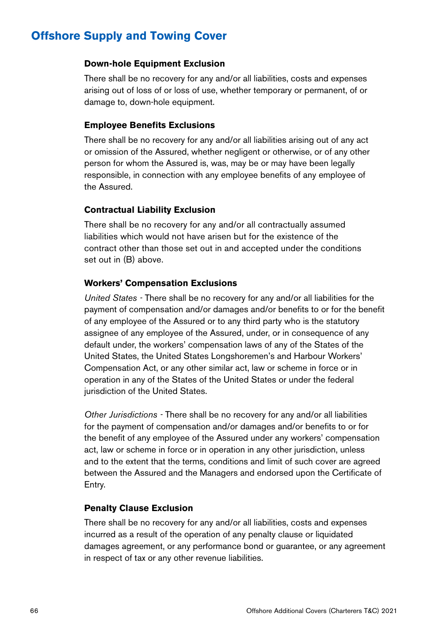#### **Down-hole Equipment Exclusion**

There shall be no recovery for any and/or all liabilities, costs and expenses arising out of loss of or loss of use, whether temporary or permanent, of or damage to, down-hole equipment.

#### **Employee Benefits Exclusions**

There shall be no recovery for any and/or all liabilities arising out of any act or omission of the Assured, whether negligent or otherwise, or of any other person for whom the Assured is, was, may be or may have been legally responsible, in connection with any employee benefits of any employee of the Assured.

#### **Contractual Liability Exclusion**

There shall be no recovery for any and/or all contractually assumed liabilities which would not have arisen but for the existence of the contract other than those set out in and accepted under the conditions set out in (B) above.

#### **Workers' Compensation Exclusions**

*United States -* There shall be no recovery for any and/or all liabilities for the payment of compensation and/or damages and/or benefits to or for the benefit of any employee of the Assured or to any third party who is the statutory assignee of any employee of the Assured, under, or in consequence of any default under, the workers' compensation laws of any of the States of the United States, the United States Longshoremen's and Harbour Workers' Compensation Act, or any other similar act, law or scheme in force or in operation in any of the States of the United States or under the federal jurisdiction of the United States.

*Other Jurisdictions -* There shall be no recovery for any and/or all liabilities for the payment of compensation and/or damages and/or benefits to or for the benefit of any employee of the Assured under any workers' compensation act, law or scheme in force or in operation in any other jurisdiction, unless and to the extent that the terms, conditions and limit of such cover are agreed between the Assured and the Managers and endorsed upon the Certificate of Entry.

#### **Penalty Clause Exclusion**

There shall be no recovery for any and/or all liabilities, costs and expenses incurred as a result of the operation of any penalty clause or liquidated damages agreement, or any performance bond or guarantee, or any agreement in respect of tax or any other revenue liabilities.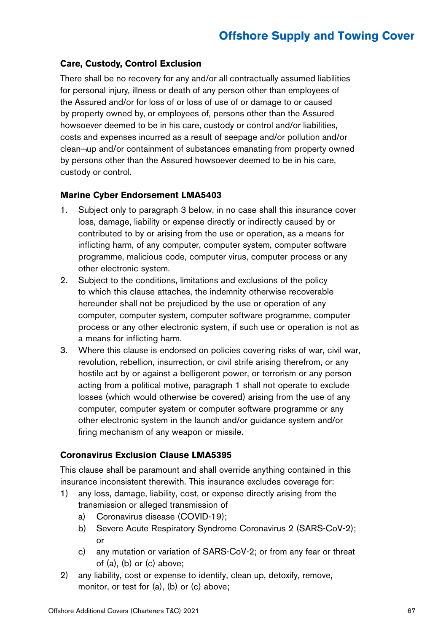#### **Care, Custody, Control Exclusion**

There shall be no recovery for any and/or all contractually assumed liabilities for personal injury, illness or death of any person other than employees of the Assured and/or for loss of or loss of use of or damage to or caused by property owned by, or employees of, persons other than the Assured howsoever deemed to be in his care, custody or control and/or liabilities, costs and expenses incurred as a result of seepage and/or pollution and/or clean¬up and/or containment of substances emanating from property owned by persons other than the Assured howsoever deemed to be in his care, custody or control.

#### **Marine Cyber Endorsement LMA5403**

- 1. Subject only to paragraph 3 below, in no case shall this insurance cover loss, damage, liability or expense directly or indirectly caused by or contributed to by or arising from the use or operation, as a means for inflicting harm, of any computer, computer system, computer software programme, malicious code, computer virus, computer process or any other electronic system.
- 2. Subject to the conditions, limitations and exclusions of the policy to which this clause attaches, the indemnity otherwise recoverable hereunder shall not be prejudiced by the use or operation of any computer, computer system, computer software programme, computer process or any other electronic system, if such use or operation is not as a means for inflicting harm.
- 3. Where this clause is endorsed on policies covering risks of war, civil war, revolution, rebellion, insurrection, or civil strife arising therefrom, or any hostile act by or against a belligerent power, or terrorism or any person acting from a political motive, paragraph 1 shall not operate to exclude losses (which would otherwise be covered) arising from the use of any computer, computer system or computer software programme or any other electronic system in the launch and/or guidance system and/or firing mechanism of any weapon or missile.

#### **Coronavirus Exclusion Clause LMA5395**

This clause shall be paramount and shall override anything contained in this insurance inconsistent therewith. This insurance excludes coverage for:

- 1) any loss, damage, liability, cost, or expense directly arising from the transmission or alleged transmission of
	- a) Coronavirus disease (COVID-19);
	- b) Severe Acute Respiratory Syndrome Coronavirus 2 (SARS-CoV-2); or
	- c) any mutation or variation of SARS-CoV-2; or from any fear or threat of (a), (b) or (c) above;
- 2) any liability, cost or expense to identify, clean up, detoxify, remove, monitor, or test for (a), (b) or (c) above;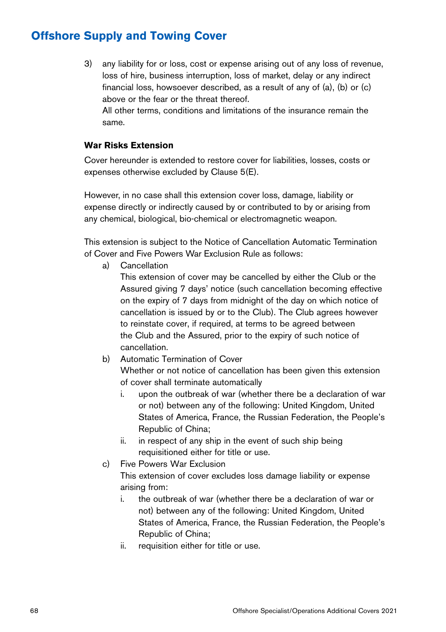3) any liability for or loss, cost or expense arising out of any loss of revenue, loss of hire, business interruption, loss of market, delay or any indirect financial loss, howsoever described, as a result of any of (a), (b) or (c) above or the fear or the threat thereof.

All other terms, conditions and limitations of the insurance remain the same.

#### **War Risks Extension**

Cover hereunder is extended to restore cover for liabilities, losses, costs or expenses otherwise excluded by Clause 5(E).

However, in no case shall this extension cover loss, damage, liability or expense directly or indirectly caused by or contributed to by or arising from any chemical, biological, bio-chemical or electromagnetic weapon.

This extension is subject to the Notice of Cancellation Automatic Termination of Cover and Five Powers War Exclusion Rule as follows:

a) Cancellation

This extension of cover may be cancelled by either the Club or the Assured giving 7 days' notice (such cancellation becoming effective on the expiry of 7 days from midnight of the day on which notice of cancellation is issued by or to the Club). The Club agrees however to reinstate cover, if required, at terms to be agreed between the Club and the Assured, prior to the expiry of such notice of cancellation.

b) Automatic Termination of Cover

Whether or not notice of cancellation has been given this extension of cover shall terminate automatically

- i. upon the outbreak of war (whether there be a declaration of war or not) between any of the following: United Kingdom, United States of America, France, the Russian Federation, the People's Republic of China;
- ii. in respect of any ship in the event of such ship being requisitioned either for title or use.
- c) Five Powers War Exclusion

This extension of cover excludes loss damage liability or expense arising from:

- i. the outbreak of war (whether there be a declaration of war or not) between any of the following: United Kingdom, United States of America, France, the Russian Federation, the People's Republic of China;
- ii. requisition either for title or use.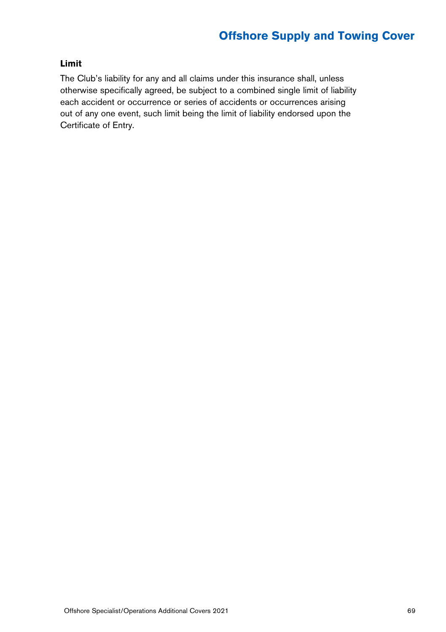#### **Limit**

The Club's liability for any and all claims under this insurance shall, unless otherwise specifically agreed, be subject to a combined single limit of liability each accident or occurrence or series of accidents or occurrences arising out of any one event, such limit being the limit of liability endorsed upon the Certificate of Entry.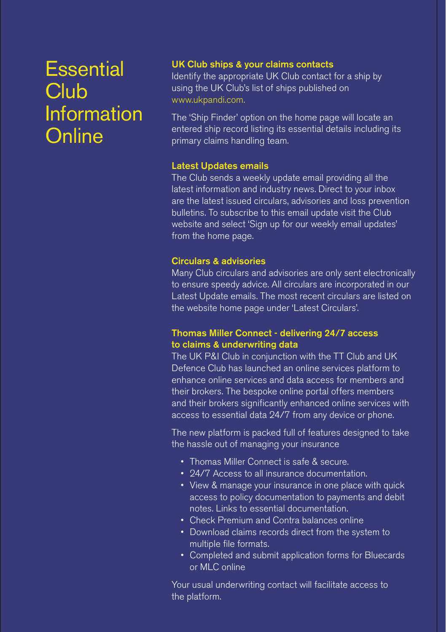## **Essential Club Information Online**

#### UK Club ships & your claims contacts

Identify the appropriate UK Club contact for a ship by using the UK Club's list of ships published on www.ukpandi.com.

The 'Ship Finder' option on the home page will locate an entered ship record listing its essential details including its primary claims handling team.

#### Latest Updates emails

The Club sends a weekly update email providing all the latest information and industry news. Direct to your inbox are the latest issued circulars, advisories and loss prevention bulletins. To subscribe to this email update visit the Club website and select 'Sign up for our weekly email updates' from the home page.

#### Circulars & advisories

Many Club circulars and advisories are only sent electronically to ensure speedy advice. All circulars are incorporated in our Latest Update emails. The most recent circulars are listed on the website home page under 'Latest Circulars'.

#### Thomas Miller Connect - delivering 24/7 access to claims & underwriting data

The UK P&I Club in conjunction with the TT Club and UK Defence Club has launched an online services platform to enhance online services and data access for members and their brokers. The bespoke online portal offers members and their brokers significantly enhanced online services with access to essential data 24/7 from any device or phone.

The new platform is packed full of features designed to take the hassle out of managing your insurance

- Thomas Miller Connect is safe & secure.
- 24/7 Access to all insurance documentation.
- View & manage your insurance in one place with quick access to policy documentation to payments and debit notes. Links to essential documentation.
- Check Premium and Contra balances online
- Download claims records direct from the system to multiple file formats.
- Completed and submit application forms for Bluecards or MLC online

Your usual underwriting contact will facilitate access to the platform.